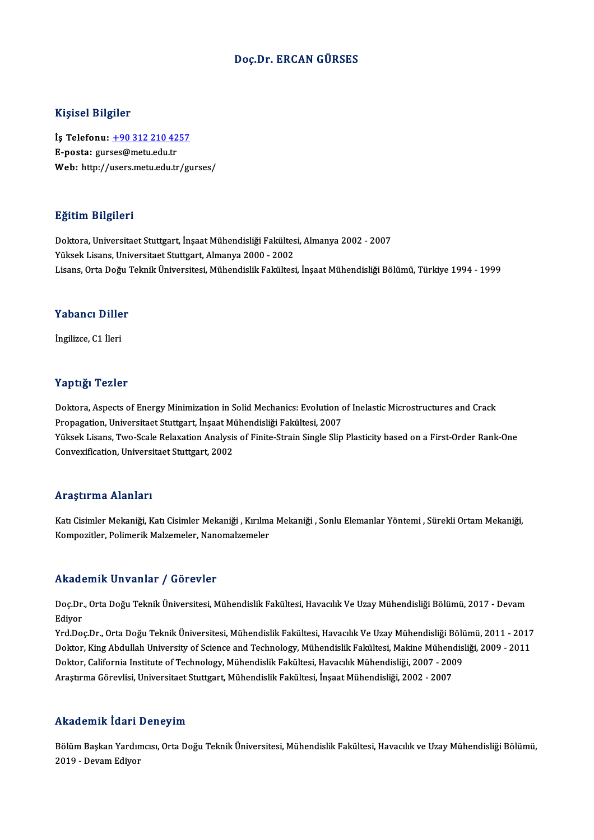#### Doç.Dr. ERCAN GÜRSES

#### Kişisel Bilgiler

Kişisel Bilgiler<br>İş Telefonu: <u>+90 312 210 4257</u><br>E nosta: surses@metu.edu.tr 11131021<br>İş Telefonu: <u>+90 312 210 42</u><br>E-posta: gur[ses@metu.edu.tr](tel:+90 312 210 4257)<br>Web: http://users.metu.edu.tr E-posta: gurses@metu.edu.tr<br>Web: http://users.metu.edu.tr/gurses/

#### Eğitim Bilgileri

Doktora, Universitaet Stuttgart, İnşaat Mühendisliği Fakültesi, Almanya 2002 - 2007 Yüksek Lisans, Universitaet Stuttgart, Almanya 2000 - 2002 Lisans, Orta Doğu Teknik Üniversitesi, Mühendislik Fakültesi, İnşaat Mühendisliği Bölümü, Türkiye 1994 - 1999

#### Yabancı Diller

İngilizce,C1 İleri

#### Yaptığı Tezler

Yaptığı Tezler<br>Doktora, Aspects of Energy Minimization in Solid Mechanics: Evolution of Inelastic Microstructures and Crack<br>Prenagation, Universitest Stuttgart, İnsast Mühandisliği Felsültesi, 2007 Propagation<br>Propagation, Universitaet Stuttgart, İnşaat Mühendisliği Fakültesi, 2007<br>Propagation, Universitaet Stuttgart, İnşaat Mühendisliği Fakültesi, 2007<br>Vülgek Lisans, Ture Scale Belavation, Analysis of Finite Strain Doktora, Aspects of Energy Minimization in Solid Mechanics: Evolution of Inelastic Microstructures and Crack<br>Propagation, Universitaet Stuttgart, İnşaat Mühendisliği Fakültesi, 2007<br>Yüksek Lisans, Two-Scale Relaxation Anal Propagation, Universitaet Stuttgart, İnşaat Mi<br>Yüksek Lisans, Two-Scale Relaxation Analysis<br>Convexification, Universitaet Stuttgart, 2002 Convexification, Universitaet Stuttgart, 2002<br>Araştırma Alanları

Katı Cisimler Mekaniği, Katı Cisimler Mekaniği , Kırılma Mekaniği , Sonlu Elemanlar Yöntemi , Sürekli Ortam Mekaniği, Kompozitler, Polimerik Malzemeler, Nanomalzemeler

#### Akademik Unvanlar / Görevler

**Akademik Unvanlar / Görevler**<br>Doç.Dr., Orta Doğu Teknik Üniversitesi, Mühendislik Fakültesi, Havacılık Ve Uzay Mühendisliği Bölümü, 2017 - Devam<br>Ediyor nnaa<br>Doç.Dr<br>Ediyor<br><sup>Vrd.Do</sup>

Ediyor<br>Yrd.Doç.Dr., Orta Doğu Teknik Üniversitesi, Mühendislik Fakültesi, Havacılık Ve Uzay Mühendisliği Bölümü, 2011 - 2017 Ediyor<br>Yrd,Doç,Dr., Orta Doğu Teknik Üniversitesi, Mühendislik Fakültesi, Havacılık Ve Uzay Mühendisliği Bölümü, 2011<br>Doktor, King Abdullah University of Science and Technology, Mühendislik Fakültesi, Makine Mühendisliği, Yrd.Doç.Dr., Orta Doğu Teknik Üniversitesi, Mühendislik Fakültesi, Havacılık Ve Uzay Mühendisliği Bölü<br>Doktor, King Abdullah University of Science and Technology, Mühendislik Fakültesi, Makine Mühendis<br>Doktor, California I Doktor, King Abdullah University of Science and Technology, Mühendislik Fakültesi, Makine Mühen<br>Doktor, California Institute of Technology, Mühendislik Fakültesi, Havacılık Mühendisliği, 2007 - 200<br>Araştırma Görevlisi, Uni Araştırma Görevlisi, Universitaet Stuttgart, Mühendislik Fakültesi, İnşaat Mühendisliği, 2002 - 2007<br>Akademik İdari Deneyim

**Akademik İdari Deneyim**<br>Bölüm Başkan Yardımcısı, Orta Doğu Teknik Üniversitesi, Mühendislik Fakültesi, Havacılık ve Uzay Mühendisliği Bölümü,<br>2019 - Davam Ediyar 2019 - Devam Patricis<br>2019 - Devam Ediyor<br>2019 - Devam Ediyor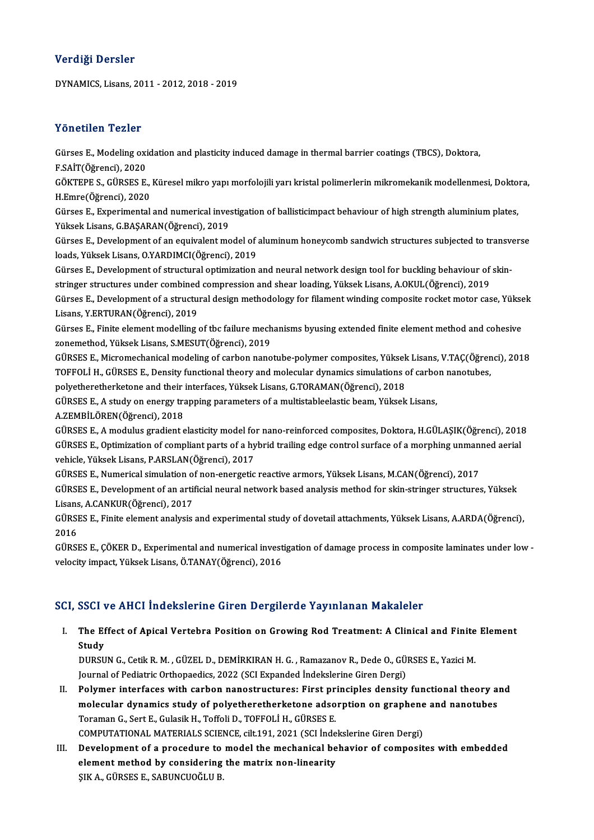#### Verdiği Dersler

DYNAMICS,Lisans,2011 -2012,2018 -2019

#### Yönetilen Tezler

Yönetilen Tezler<br>Gürses E., Modeling oxidation and plasticity induced damage in thermal barrier coatings (TBCS), Doktora,<br>E.SAİT(Öğrengi), 2020 F.SAİT(Öğrenci), 2020<br>F.SAİT(Öğrenci), 2020<br>CÖKTEPE S., CÜREKE E Gürses E., Modeling oxidation and plasticity induced damage in thermal barrier coatings (TBCS), Doktora,<br>F.SAİT(Öğrenci), 2020<br>GÖKTEPE S., GÜRSES E., Küresel mikro yapı morfolojili yarı kristal polimerlerin mikromekanik mo

F.SAİT(Öğrenci), 2020<br>GÖKTEPE S., GÜRSES E.,<br>H.Emre(Öğrenci), 2020<br>Gürses E., Experimental GÖKTEPE S., GÜRSES E., Küresel mikro yapı morfolojili yarı kristal polimerlerin mikromekanik modellenmesi, Dokto<br>H.Emre(Öğrenci), 2020<br>Gürses E., Experimental and numerical investigation of ballisticimpact behaviour of hig

H.Emre(Öğrenci), 2020<br>Gürses E., Experimental and numerical investigation of ballisticimpact behaviour of high strength aluminium plates,<br>Yüksek Lisans, G.BAŞARAN(Öğrenci), 2019

Gürses E., Development of an equivalent model of aluminum honeycomb sandwich structures subjected to transverse loads, Yüksek Lisans, O.YARDIMCI(Öğrenci), 2019 Gürses E., Development of an equivalent model of aluminum honeycomb sandwich structures subjected to transv<br>loads, Yüksek Lisans, O.YARDIMCI(Öğrenci), 2019<br>Gürses E., Development of structural optimization and neural netwo

loads, Yüksek Lisans, O.YARDIMCI(Öğrenci), 2019<br>Gürses E., Development of structural optimization and neural network design tool for buckling behaviour of<br>stringer structures under combined compression and shear loading, Y

stringer structures under combined compression and shear loading, Yüksek Lisans, A.OKUL(Öğrenci), 2019<br>Gürses E., Development of a structural design methodology for filament winding composite rocket motor case, Yüksek Lisans, Y.ERTURAN(Öğrenci), 2019 Gürses E., Development of a structural design methodology for filament winding composite rocket motor case, Yükse<br>Lisans, Y.ERTURAN(Öğrenci), 2019<br>Gürses E., Finite element modelling of tbc failure mechanisms byusing exten

Lisans, Y.ERTURAN(Öğrenci), 2019<br>Gürses E., Finite element modelling of tbc failure mech<br>zonemethod, Yüksek Lisans, S.MESUT(Öğrenci), 2019<br>Günses E. Misromeshanisal modeling of sarban nano Gürses E., Finite element modelling of tbc failure mechanisms byusing extended finite element method and cohesive<br>zonemethod, Yüksek Lisans, S.MESUT(Öğrenci), 2019<br>GÜRSES E., Micromechanical modeling of carbon nanotube-pol

zonemethod, Yüksek Lisans, S.MESUT(Öğrenci), 2019<br>GÜRSES E., Micromechanical modeling of carbon nanotube-polymer composites, Yüksek Lisans, V.TAÇ(Öğrenci), 2018 GÜRSES E., Micromechanical modeling of carbon nanotube-polymer composites, Yüksek<br>TOFFOLİ H., GÜRSES E., Density functional theory and molecular dynamics simulations of<br>polyetheretherketone and their interfaces, Yüksek Lis TOFFOLİ H., GÜRSES E., Density functional theory and molecular dynamics simulations of carbon nanotubes, polyetheretherketone and their interfaces, Yüksek Lisans, G.TORAMAN(Öğrenci), 2018<br>GÜRSES E., A study on energy trapp

polyetheretherketone and their<br>GÜRSES E., A study on energy tra<br>A.ZEMBİLÖREN(Öğrenci), 2018

GÜRSES E., A modulus gradient elasticity model for nano-reinforced composites, Doktora, H.GÜLAŞIK(Öğrenci), 2018 A.ZEMBİLÖREN(Öğrenci), 2018<br>GÜRSES E., A modulus gradient elasticity model for nano-reinforced composites, Doktora, H.GÜLAŞIK(Öğrenci), 201<br>GÜRSES E., Optimization of compliant parts of a hybrid trailing edge control surfa GÜRSES E., A modulus gradient elasticity model for<br>GÜRSES E., Optimization of compliant parts of a hy<br>vehicle, Yüksek Lisans, P.ARSLAN(Öğrenci), 2017<br>CÜRSES E. Numerical simulation of non operatio GÜRSES E., Optimization of compliant parts of a hybrid trailing edge control surface of a morphing unman:<br>vehicle, Yüksek Lisans, P.ARSLAN(Öğrenci), 2017<br>GÜRSES E., Numerical simulation of non-energetic reactive armors, Yü

vehicle, Yüksek Lisans, P.ARSLAN(Öğrenci), 2017<br>GÜRSES E., Numerical simulation of non-energetic reactive armors, Yüksek Lisans, M.CAN(Öğrenci), 2017<br>GÜRSES E., Development of an artificial neural network based analysis me GÜRSES E., Numerical simulation of<br>GÜRSES E., Development of an artii<br>Lisans, A.CANKUR(Öğrenci), 2017<br>CÜRSES E. Einite olement analysis GÜRSES E., Development of an artificial neural network based analysis method for skin-stringer structures, Yüksek<br>Lisans, A.CANKUR(Öğrenci), 2017<br>GÜRSES E., Finite element analysis and experimental study of dovetail attach

Lisans<br>GÜRSI<br>2016<br>CÜRSI GÜRSES E., Finite element analysis and experimental study of dovetail attachments, Yüksek Lisans, A.ARDA(Öğrenci),<br>2016<br>GÜRSES E., ÇÖKER D., Experimental and numerical investigation of damage process in composite laminates

2016<br>GÜRSES E., ÇÖKER D., Experimental and numerical investigation of damage process in composite laminates under low<br>velocity impact, Yüksek Lisans, Ö.TANAY(Öğrenci), 2016

#### SCI, SSCI ve AHCI İndekslerine Giren Dergilerde Yayınlanan Makaleler

CI, SSCI ve AHCI İndekslerine Giren Dergilerde Yayınlanan Makaleler<br>I. The Effect of Apical Vertebra Position on Growing Rod Treatment: A Clinical and Finite Element<br>Study SSS1<br>The Ef<br>Study<br>DURSU The Effect of Apical Vertebra Position on Growing Rod Treatment: A Clinical and Finite<br>Study<br>DURSUN G., Cetik R. M. , GÜZEL D., DEMİRKIRAN H. G. , Ramazanov R., Dede O., GÜRSES E., Yazici M.<br>Journal of Podiatric Orthonoodi

Study<br>DURSUN G., Cetik R. M. , GÜZEL D., DEMİRKIRAN H. G. , Ramazanov R., Dede O., GÜ.<br>Journal of Pediatric Orthopaedics, 2022 (SCI Expanded İndekslerine Giren Dergi)<br>Polymor interfases with sarbon nanostrustures: First pr DURSUN G., Cetik R. M. , GÜZEL D., DEMIRKIRAN H. G. , Ramazanov R., Dede O., GÜRSES E., Yazici M.<br>Journal of Pediatric Orthopaedics, 2022 (SCI Expanded Indekslerine Giren Dergi)<br>II. Polymer interfaces with carbon nanostruc

- Journal of Pediatric Orthopaedics, 2022 (SCI Expanded Indekslerine Giren Dergi)<br>Polymer interfaces with carbon nanostructures: First principles density functional theory a<br>molecular dynamics study of polyetheretherketone a Polymer interfaces with carbon nanostructures: First pr<br>molecular dynamics study of polyetheretherketone adso<br>Toraman G., Sert E., Gulasik H., Toffoli D., TOFFOLİ H., GÜRSES E.<br>COMPUTATIONAL MATERIALS SCIENCE cilt 191, 202 molecular dynamics study of polyetheretherketone adsorption on graphene<br>Toraman G., Sert E., Gulasik H., Toffoli D., TOFFOLİ H., GÜRSES E.<br>COMPUTATIONAL MATERIALS SCIENCE, cilt.191, 2021 (SCI İndekslerine Giren Dergi)<br>Deve I I. Toraman G., Sert E., Gulasik H., Toffoli D., TOFFOLİ H., GÜRSES E.<br>COMPUTATIONAL MATERIALS SCIENCE, cilt.191, 2021 (SCI İndekslerine Giren Dergi)<br>III. Development of a procedure to model the mechanical behavior of com
- COMPUTATIONAL MATERIALS SCIENCE, cilt.191, 2021 (SCI İnde<br>Development of a procedure to model the mechanical be<br>element method by considering the matrix non-linearity<br>SIV A CÜRSES E SARUNCHOČULE element method by considering the matrix non-linearity<br>ŞIK A., GÜRSES E., SABUNCUOĞLU B.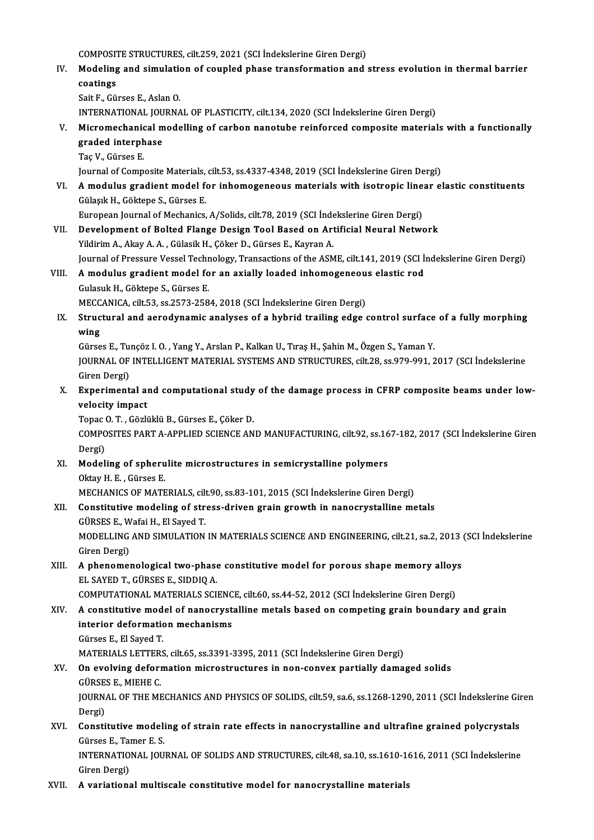COMPOSITE STRUCTURES, cilt.259, 2021 (SCI İndekslerine Giren Dergi)

- COMPOSITE STRUCTURES, cilt.259, 2021 (SCI İndekslerine Giren Dergi)<br>IV. Modeling and simulation of coupled phase transformation and stress evolution in thermal barrier<br>costings COMPOSIT<br>Modeling<br>coatings<br>Soit E. Cit Modeling and simulation<br>coatings<br>Sait F., Gürses E., Aslan O.<br>INTERNATIONAL JOURNA co<mark>atings</mark><br>Sait F., Gürses E., Aslan O.<br>INTERNATIONAL JOURNAL OF PLASTICITY, cilt.134, 2020 (SCI İndekslerine Giren Dergi)<br>Misromeshanisel modelling of sarban nanotube reinforsed somnesite material
	-

Sait F., Gürses E., Aslan O.<br>INTERNATIONAL JOURNAL OF PLASTICITY, cilt.134, 2020 (SCI İndekslerine Giren Dergi)<br>V. Micromechanical modelling of carbon nanotube reinforced composite materials with a functionally INTERNATIONAL JOU<br>Micromechanical m<br>graded interphase<br>Tas V. Gürses E graded interphase<br>Taç V., Gürses E. graded interphase<br>Taç V., Gürses E.<br>Journal of Composite Materials, cilt.53, ss.4337-4348, 2019 (SCI İndekslerine Giren Dergi)<br>A. modulus gradient model for inhemegeneeus materials with isetrenis linear el

Taç V., Gürses E.<br>Journal of Composite Materials, cilt.53, ss.4337-4348, 2019 (SCI İndekslerine Giren Dergi)<br>VI. – A modulus gradient model for inhomogeneous materials with isotropic linear elastic constituents<br>Cülesly H. Journal of Composite Materials,<br>**A modulus gradient model f**<br>Gülaşık H., Göktepe S., Gürses E.<br>European Journal of Meshaniss A modulus gradient model for inhomogeneous materials with isotropic line<br>Gülaşık H., Göktepe S., Gürses E.<br>European Journal of Mechanics, A/Solids, cilt.78, 2019 (SCI İndekslerine Giren Dergi)<br>Develepment of Belted Flange Gülaşık H., Göktepe S., Gürses E.<br>European Journal of Mechanics, A/Solids, cilt.78, 2019 (SCI İndekslerine Giren Dergi)<br>VII. Development of Bolted Flange Design Tool Based on Artificial Neural Network

- Yildirim A., Akay A. A., Gülasik H., Çöker D., Gürses E., Kayran A. Development of Bolted Flange Design Tool Based on Artificial Neural Network<br>Yildirim A., Akay A. A. , Gülasik H., Çöker D., Gürses E., Kayran A.<br>Journal of Pressure Vessel Technology, Transactions of the ASME, cilt.141, 20 Yildirim A., Akay A. A., Gülasik H., Çöker D., Gürses E., Kayran A.<br>Journal of Pressure Vessel Technology, Transactions of the ASME, cilt.141, 2019 (SCI İ:<br>VIII. A modulus gradient model for an axially loaded inhomogeneous
- Journal of Pressure Vessel Techn<br>**A modulus gradient model fo<br>Gulasuk H., Göktepe S., Gürses E.<br>MECCANICA silt 52, 83,3573,358** VIII. A modulus gradient model for an axially loaded inhomogeneous elastic rod<br>Gulasuk H., Göktepe S., Gürses E.<br>MECCANICA, cilt.53, ss.2573-2584, 2018 (SCI İndekslerine Giren Dergi)
	- Gulasuk H., Göktepe S., Gürses E.<br>MECCANICA, cilt.53, ss.2573-2584, 2018 (SCI İndekslerine Giren Dergi)<br>IX. Structural and aerodynamic analyses of a hybrid trailing edge control surface of a fully morphing<br>wing MECC.<br>Struc<br>wing Structural and aerodynamic analyses of a hybrid trailing edge control surface<br>wing<br>Gürses E., Tunçöz I. O. , Yang Y., Arslan P., Kalkan U., Tıraş H., Şahin M., Özgen S., Yaman Y.<br>JOUPMAL OF INTELLICENT MATERIAL SYSTEMS AND

wing<br>Gürses E., Tunçöz I. O. , Yang Y., Arslan P., Kalkan U., Tıraş H., Şahin M., Özgen S., Yaman Y.<br>JOURNAL OF INTELLIGENT MATERIAL SYSTEMS AND STRUCTURES, cilt.28, ss.979-991, 2017 (SCI İndekslerine<br>Giren Dergi) Gürses E., Tunçöz I. O., Yang Y., Arslan P., Kalkan U., Tıraş H., Şahin M., Özgen S., Yaman Y. JOURNAL OF INTELLIGENT MATERIAL SYSTEMS AND STRUCTURES, cilt.28, ss.979-991, 2017 (SCI Indekslerine<br>Giren Dergi)<br>X. Experimental and computational study of the damage process in CFRP composite beams under low-<br>velocity imp

Giren Dergi)<br><mark>Experimental a</mark><br>velocity impact<br>Topes O.T. Cërk Experimental and computational study<br>velocity impact<br>Topac O.T., Gözlüklü B., Gürses E., Çöker D.<br>COMPOSITES BART A APPLIED SCIENCE AN

Topac O.T., Gözlüklü B., Gürses E., Çöker D.

velocity impact<br>Topac O.T., Gözlüklü B., Gürses E., Çöker D.<br>COMPOSITES PART A-APPLIED SCIENCE AND MANUFACTURING, cilt.92, ss.167-182, 2017 (SCI İndekslerine Giren<br>Dergi) COMPOSITES PART A-APPLIED SCIENCE AND MANUFACTURING, cilt.92, ss.16<br>Dergi)<br>XI. Modeling of spherulite microstructures in semicrystalline polymers<br>Oltar H.E. Gürges E

Dergi)<br>Modeling of spheru<br>Oktay H. E. , Gürses E.<br>MECHANICS OF MATE Modeling of spherulite microstructures in semicrystalline polymers<br>Oktay H. E. , Gürses E.<br>MECHANICS OF MATERIALS, cilt.90, ss.83-101, 2015 (SCI İndekslerine Giren Dergi)<br>Constitutive modeling of stress driven grain gravıt

Oktay H. E. , Gürses E.<br>MECHANICS OF MATERIALS, cilt.90, ss.83-101, 2015 (SCI İndekslerine Giren Dergi)<br>XII. Constitutive modeling of stress-driven grain growth in nanocrystalline metals<br>CÜRSES E. Wafei H. El Saved T. MECHANICS OF MATERIALS, cil<mark>t</mark><br>Constitutive modeling of str<br>GÜRSES E., Wafai H., El Sayed T.<br>MODELLINC AND SIMIL ATION Constitutive modeling of stress-driven grain growth in nanocrystalline metals<br>GÜRSES E., Wafai H., El Sayed T.<br>MODELLING AND SIMULATION IN MATERIALS SCIENCE AND ENGINEERING, cilt.21, sa.2, 2013 (SCI İndekslerine<br>Ciron Derg

GÜRSES E., W<br>MODELLING<br>Giren Dergi)<br>A phonomol MODELLING AND SIMULATION IN MATERIALS SCIENCE AND ENGINEERING, cilt.21, sa.2, 2013<br>Giren Dergi)<br>XIII. A phenomenological two-phase constitutive model for porous shape memory alloys<br>EL SAVED T, CÜRSES E, SIDDIO A

### Giren Dergi)<br>XIII. A phenomenological two-phase constitutive model for porous shape memory alloys<br>EL SAYED T., GÜRSES E., SIDDIQ A. A phenomenological two-phase constitutive model for porous shape memory alloys<br>EL SAYED T., GÜRSES E., SIDDIQ A.<br>COMPUTATIONAL MATERIALS SCIENCE, cilt.60, ss.44-52, 2012 (SCI İndekslerine Giren Dergi)<br>A sanstitutive model

EL SAYED T., GÜRSES E., SIDDIQ A.<br>COMPUTATIONAL MATERIALS SCIENCE, cilt.60, ss.44-52, 2012 (SCI İndekslerine Giren Dergi)<br>XIV. A constitutive model of nanocrystalline metals based on competing grain boundary and grain<br> COMPUTATIONAL MATERIALS SCIENC<br>A constitutive model of nanocryst<br>interior deformation mechanisms **A constitutive mod<br>interior deformation<br>Gürses E., El Sayed T.<br>MATEPIALS LETTERS** interior deformation mechanisms<br>Gürses E., El Sayed T.<br>MATERIALS LETTERS, cilt.65, ss.3391-3395, 2011 (SCI İndekslerine Giren Dergi)<br>On evolving deformation microstructures in non sonyay partially dama Gürses E., El Sayed T.<br>MATERIALS LETTERS, cilt.65, ss.3391-3395, 2011 (SCI İndekslerine Giren Dergi)<br>XV. On evolving deformation microstructures in non-convex partially damaged solids

### MATERIALS LETTER:<br>On evolving deform<br>GÜRSES E., MIEHE C.<br>JOUPMAL OF THE ME GÜRSES E., MIEHE C.

JOURNAL OF THE MECHANICS AND PHYSICS OF SOLIDS, cilt.59, sa.6, ss.1268-1290, 2011 (SCI İndekslerine Giren<br>Dergi) JOURNAL OF THE MECHANICS AND PHYSICS OF SOLIDS, cilt.59, sa.6, ss.1268-1290, 2011 (SCI İndekslerine Gir<br>Dergi)<br>XVI. Constitutive modeling of strain rate effects in nanocrystalline and ultrafine grained polycrystals<br>Cürses

# Dergi)<br>Constitutive modeli<br>Gürses E., Tamer E. S.<br>INTERNATIONAL JOU Constitutive modeling of strain rate effects in nanocrystalline and ultrafine grained polycrystals<br>Gürses E., Tamer E. S.<br>INTERNATIONAL JOURNAL OF SOLIDS AND STRUCTURES, cilt.48, sa.10, ss.1610-1616, 2011 (SCI İndekslerine

Gürses E., Tai<br>INTERNATIO<br>Giren Dergi)<br>A veriations

Giren Dergi)<br>XVII. A variational multiscale constitutive model for nanocrystalline materials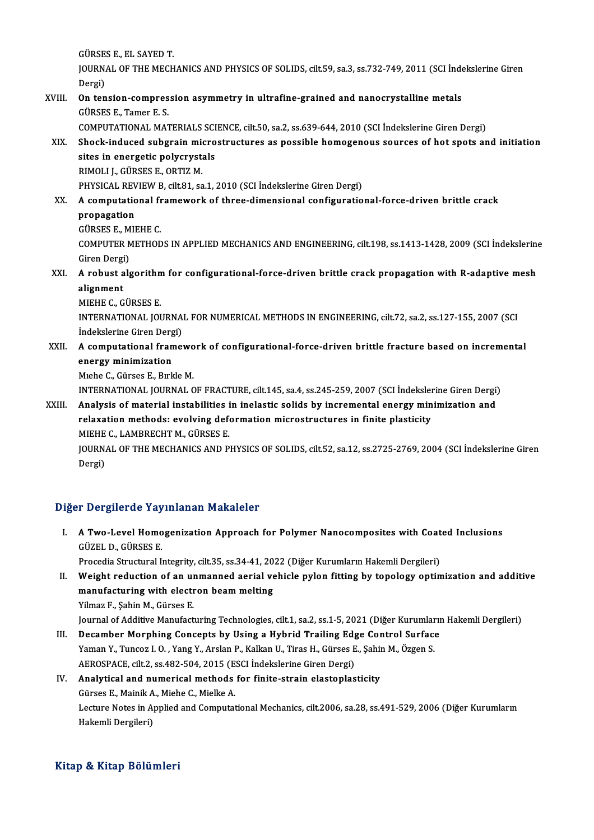GÜRSES E., EL SAYED T.<br>JOUPMAL OF THE MECH JOURNAL OF THE MECHANICS AND PHYSICS OF SOLIDS, cilt.59, sa.3, ss.732-749, 2011 (SCI İndekslerine Giren<br>Dergi) GÜRSE<br>JOURN<br>Dergi)<br>On ten JOURNAL OF THE MECHANICS AND PHYSICS OF SOLIDS, cilt.59, sa.3, ss.732-749, 2011 (SCI Inde<br>Dergi)<br>XVIII. On tension-compression asymmetry in ultrafine-grained and nanocrystalline metals<br>CUBSES E Tamor E S Dergi)<br>**On tension-compres<br>GÜRSES E., Tamer E. S.<br>COMPUTATIONAL MAT** On tension-compression asymmetry in ultrafine-grained and nanocrystalline metals<br>GÜRSES E., Tamer E. S.<br>COMPUTATIONAL MATERIALS SCIENCE, cilt.50, sa.2, ss.639-644, 2010 (SCI İndekslerine Giren Dergi)<br>Shock indused substain GÜRSES E., Tamer E. S.<br>COMPUTATIONAL MATERIALS SCIENCE, cilt.50, sa.2, ss.639-644, 2010 (SCI İndekslerine Giren Dergi)<br>XIX. Shock-induced subgrain microstructures as possible homogenous sources of hot spots and initiation<br> COMPUTATIONAL MATERIALS SCI<br>Shock-induced subgrain micro<br>sites in energetic polycrystals<br>PIMOLLL CÜBSES E OPTIZ M Shock-induced subgrain mion<br>sites in energetic polycryst:<br>RIMOLI J., GÜRSES E., ORTIZ M.<br>PHYSICAL PEVIEW P. silt 91, SO sites in energetic polycrystals<br>RIMOLI J., GÜRSES E., ORTIZ M.<br>PHYSICAL REVIEW B, cilt.81, sa.1, 2010 (SCI İndekslerine Giren Dergi)<br>A semputational framework of three dimensional senfiguratio RIMOLI J., GÜRSES E., ORTIZ M.<br>PHYSICAL REVIEW B, cilt.81, sa.1, 2010 (SCI İndekslerine Giren Dergi)<br>XX. A computational framework of three-dimensional configurational-force-driven brittle crack<br>nronogation PHYSICAL REV<br>A computation<br>propagation **A computational fr<br>propagation<br>GÜRSES E., MIEHE C.<br>COMPUTER METHOD** propagation<br>GÜRSES E., MIEHE C.<br>COMPUTER METHODS IN APPLIED MECHANICS AND ENGINEERING, cilt.198, ss.1413-1428, 2009 (SCI İndekslerine GÜRSES E., M<br>COMPUTER M<br>Giren Dergi)<br>A rebust als COMPUTER METHODS IN APPLIED MECHANICS AND ENGINEERING, cilt.198, ss.1413-1428, 2009 (SCI İndekslerine<br>Giren Dergi)<br>XXI. A robust algorithm for configurational-force-driven brittle crack propagation with R-adaptive mesh **Giren Dergi<br>A robust a<br>alignment<br>MIEUE G G** A robust algorithm<br>alignment<br>MIEHE C., GÜRSES E.<br>INTERNATIONAL JOL alignment<br>MIEHE C., GÜRSES E.<br>INTERNATIONAL JOURNAL FOR NUMERICAL METHODS IN ENGINEERING, cilt.72, sa.2, ss.127-155, 2007 (SCI MIEHE C., GÜRSES E.<br>INTERNATIONAL JOURNA<br>İndekslerine Giren Dergi) INTERNATIONAL JOURNAL FOR NUMERICAL METHODS IN ENGINEERING, cilt.72, sa.2, ss.127-155, 2007 (SCI<br>Indekslerine Giren Dergi)<br>XXII. A computational framework of configurational-force-driven brittle fracture based on increment Indekslerine Giren Dergi)<br>XXII. A computational framework of configurational-force-driven brittle fracture based on incremental<br>energy minimization MıeheC.,GürsesE.,BırkleM. energy minimization<br>Miehe C., Gürses E., Bırkle M.<br>INTERNATIONAL JOURNAL OF FRACTURE, cilt.145, sa.4, ss.245-259, 2007 (SCI İndekslerine Giren Dergi)<br>Analysis of material instabilities in inglastis salids by instamantal an Miehe C., Gürses E., Birkle M.<br>INTERNATIONAL JOURNAL OF FRACTURE, cilt.145, sa.4, ss.245-259, 2007 (SCI İndekslerine Giren Dergi)<br>XXIII. Analysis of material instabilities in inelastic solids by incremental energy minimiza INTERNATIONAL JOURNAL OF FRACTURE, cilt.145, sa.4, ss.245-259, 2007 (SCI İndeksler<br>Analysis of material instabilities in inelastic solids by incremental energy min<br>relaxation methods: evolving deformation microstructures i XXIII. Analysis of material instabilities in inelastic solids by incremental energy minimization and relaxation methods: evolving deformation microstructures in finite plasticity<br>MIEHE C.. LAMBRECHT M., GÜRSES E. relaxation methods: evolving deformation microstructures in finite plasticity<br>MIEHE C., LAMBRECHT M., GÜRSES E.<br>JOURNAL OF THE MECHANICS AND PHYSICS OF SOLIDS, cilt.52, sa.12, ss.2725-2769, 2004 (SCI İndekslerine Giren<br>Per

MIEHE<br>JOURN.<br>Dergi)

# Dergi)<br>Diğer Dergilerde Yayınlanan Makaleler

Iger Dergilerde Yayınlanan Makaleler<br>I. A Two-Level Homogenization Approach for Polymer Nanocomposites with Coated Inclusions<br>CÜZELD CÜREES E A Two-Level Homo<br>GÜZEL D., GÜRSES E.<br>Presedia Structural L A Two-Level Homogenization Approach for Polymer Nanocomposites with Coat<br>GÜZEL D., GÜRSES E.<br>Procedia Structural Integrity, cilt.35, ss.34-41, 2022 (Diğer Kurumların Hakemli Dergileri)<br>Weight reduction of an unmanned aeria

Procedia Structural Integrity, cilt.35, ss.34-41, 2022 (Diğer Kurumların Hakemli Dergileri)

GÜZEL D., GÜRSES E.<br>Procedia Structural Integrity, cilt.35, ss.34-41, 2022 (Diğer Kurumların Hakemli Dergileri)<br>II. Weight reduction of an unmanned aerial vehicle pylon fitting by topology optimization and additive<br>manufac Yilmaz F., Şahin M., Gürses E.

Journal of Additive Manufacturing Technologies, cilt.1, sa.2, ss.1-5, 2021 (Diğer Kurumların Hakemli Dergileri)

Vilmaz F., Şahin M., Gürses E.<br>Journal of Additive Manufacturing Technologies, cilt.1, sa.2, ss.1-5, 2021 (Diğer Kurumların<br>III. Decamber Morphing Concepts by Using a Hybrid Trailing Edge Control Surface<br>Vaman V. Tunggal O Journal of Additive Manufacturing Technologies, cilt.1, sa.2, ss.1-5, 2021 (Diğer Kurumlar<br>Decamber Morphing Concepts by Using a Hybrid Trailing Edge Control Surface<br>Yaman Y., Tuncoz I. O. , Yang Y., Arslan P., Kalkan U., Decamber Morphing Concepts by Using a Hybrid Trailing Edg<br>Yaman Y., Tuncoz I. O. , Yang Y., Arslan P., Kalkan U., Tiras H., Gürses E<br>AEROSPACE, cilt.2, ss.482-504, 2015 (ESCI İndekslerine Giren Dergi)<br>Analytical and numari Yaman Y., Tuncoz I. O. , Yang Y., Arslan P., Kalkan U., Tiras H., Gürses E., Şahin M., Özgen S.<br>AEROSPACE, cilt.2, ss.482-504, 2015 (ESCI İndekslerine Giren Dergi)<br>IV. Analytical and numerical methods for finite-strain

### AEROSPACE, cilt.2, ss.482-504, 2015 (E.<br>Analytical and numerical methods<br>Gürses E., Mainik A., Miehe C., Mielke A. Lecture Notes in Applied and Computational Mechanics, cilt.2006, sa.28, ss.491-529, 2006 (Diğer Kurumların Hakemli Dergileri) Gürses E., Mainik A<br>Lecture Notes in A<sub>l</sub><br>Hakemli Dergileri)

### Kitap & Kitap Bölümleri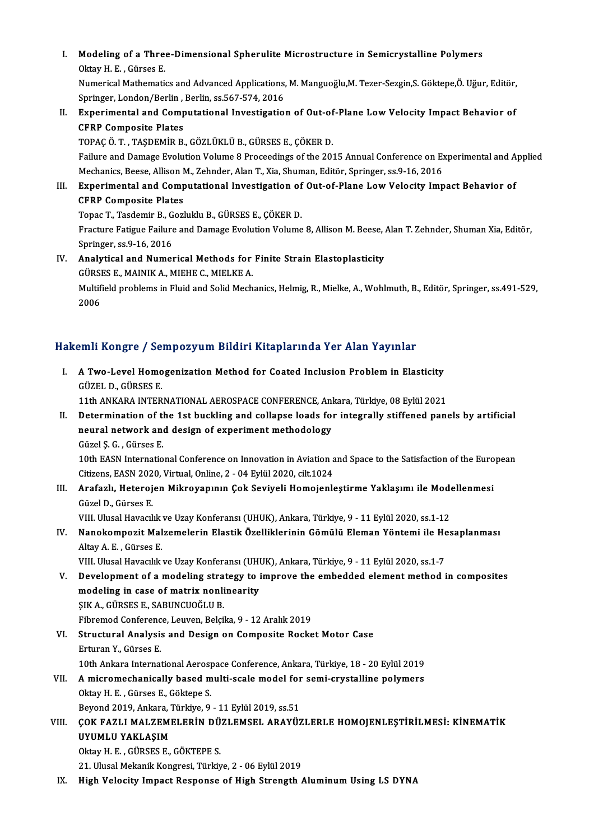I. Modeling of a Three-Dimensional Spherulite Microstructure in Semicrystalline Polymers<br>Oltav H. E. Günee F Modeling of a Three<br>Oktay H. E. , Gürses E.<br>Numerisel Methemeti

Oktay H. E. , Gürses E.<br>Numerical Mathematics and Advanced Applications, M. Manguoğlu,M. Tezer-Sezgin,S. Göktepe,Ö. Uğur, Editör, Oktay H. E. , Gürses E.<br>Numerical Mathematics and Advanced Applications,<br>Springer, London/Berlin , Berlin, ss.567-574, 2016<br>Eunenimental and Computational Investigation

II. Experimental and Computational Investigation of Out-of-Plane Low Velocity Impact Behavior of CFRP Composite Plates Springer, London/Berlin ,<br>Experimental and Comp<br>CFRP Composite Plates<br>TOBAC Ö.T. TASDEMIR R

TOPAÇÖ.T. ,TAŞDEMİRB.,GÖZLÜKLÜB.,GÜRSESE.,ÇÖKERD. Failure and Damage Evolution Volume 8 Proceedings of the 2015 Annual Conference on Experimental and Applied TOPAÇ Ö. T. , TAŞDEMİR B., GÖZLÜKLÜ B., GÜRSES E., ÇÖKER D.<br>Failure and Damage Evolution Volume 8 Proceedings of the 2015 Annual Conference on E.<br>Mechanics, Beese, Allison M., Zehnder, Alan T., Xia, Shuman, Editör, Springe Failure and Damage Evolution Volume 8 Proceedings of the 2015 Annual Conference on Experimental and A<br>Mechanics, Beese, Allison M., Zehnder, Alan T., Xia, Shuman, Editör, Springer, ss.9-16, 2016<br>III. Experimental and Compu

# Mechanics, Beese, Allison<br>Experimental and Comp<br>CFRP Composite Plates<br>Tance T. Tosdomir B. Corl Experimental and Computational Investigation of<br>CFRP Composite Plates<br>Topac T., Tasdemir B., Gozluklu B., GÜRSES E., ÇÖKER D.<br>Enasture Fatisue Failure and Damase Euclution Volume

CFRP Composite Plates<br>Topac T., Tasdemir B., Gozluklu B., GÜRSES E., ÇÖKER D.<br>Fracture Fatigue Failure and Damage Evolution Volume 8, Allison M. Beese, Alan T. Zehnder, Shuman Xia, Editör, Springer, ss.9-16,2016

IV. Analytical and Numerical Methods for Finite Strain Elastoplasticity Springer, ss.9-16, 2016<br>Analytical and Numerical Methods for<br>GÜRSES E., MAINIK A., MIEHE C., MIELKE A.<br>Multifield problems in Fluid and Solid Mosh Multifield problems in Fluid and Solid Mechanics, Helmig, R., Mielke, A., Wohlmuth, B., Editör, Springer, ss.491-529, 2006 GÜRSI<br>Multifi<br>2006

#### Hakemli Kongre / Sempozyum Bildiri Kitaplarında Yer Alan Yayınlar

akemli Kongre / Sempozyum Bildiri Kitaplarında Yer Alan Yayınlar<br>I. A Two-Level Homogenization Method for Coated Inclusion Problem in Elasticity<br>Cüzel D Cüpses E SINIT ROLLEY 7 CO.<br>A Two-Level Homo<br>GÜZEL D., GÜRSES E.<br>11th ANKARA INTER A Two-Level Homogenization Method for Coated Inclusion Problem in Elasticity<br>GÜZEL D., GÜRSES E.<br>11th ANKARA INTERNATIONAL AEROSPACE CONFERENCE, Ankara, Türkiye, 08 Eylül 2021<br>Determination of the 1st buskling and collange GÜZEL D., GÜRSES E.<br>11th ANKARA INTERNATIONAL AEROSPACE CONFERENCE, Ankara, Türkiye, 08 Eylül 2021<br>II. Determination of the 1st buckling and collapse loads for integrally stiffened panels by artificial 11th ANKARA INTERNATIONAL AEROSPACE CONFERENCE, An<br>Determination of the 1st buckling and collapse loads for<br>neural network and design of experiment methodology neural network and design of experiment methodology<br>Güzel S. G., Gürses E.

10th EASN International Conference on Innovation in Aviation and Space to the Satisfaction of the European Güzel Ș. G. , Gürses E.<br>10th EASN International Conference on Innovation in Aviation a<br>Citizens, EASN 2020, Virtual, Online, 2 - 04 Eylül 2020, cilt.1024<br>Anafarlı, Hatarajan Mikrovanının Cak Soviyali Hamajanlı 10th EASN International Conference on Innovation in Aviation and Space to the Satisfaction of the Euro<br>Citizens, EASN 2020, Virtual, Online, 2 - 04 Eylül 2020, cilt.1024<br>III. Arafazlı, Heterojen Mikroyapının Çok Seviyeli H

Citizens, EASN 202<br><mark>Arafazlı, Heteroj</mark><br>Güzel D., Gürses E.<br>VIII, Hlusel Havarlı Arafazlı, Heterojen Mikroyapının Çok Seviyeli Homojenleştirme Yaklaşımı ile Mode<br>Güzel D., Gürses E.<br>VIII. Ulusal Havacılık ve Uzay Konferansı (UHUK), Ankara, Türkiye, 9 - 11 Eylül 2020, ss.1-12<br>Nanakamnazit Malzamalarin E

### Güzel D., Gürses E.<br>VIII. Ulusal Havacılık ve Uzay Konferansı (UHUK), Ankara, Türkiye, 9 - 11 Eylül 2020, ss.1-12<br>IV. Nanokompozit Malzemelerin Elastik Özelliklerinin Gömülü Eleman Yöntemi ile Hesaplanması<br>Altay A. E., VIII. Ulusal Havacılık<br><mark>Nanokompozit Mal</mark><br>Altay A. E. , Gürses E.<br>VIII. Illusal Havasılık Nanokompozit Malzemelerin Elastik Özelliklerinin Gömülü Eleman Yöntemi ile He<br>Altay A. E. , Gürses E.<br>VIII. Ulusal Havacılık ve Uzay Konferansı (UHUK), Ankara, Türkiye, 9 - 11 Eylül 2020, ss.1-7<br>Davalanmant of a modaling s

Altay A. E. , Gürses E.<br>V. Ulusal Havacılık ve Uzay Konferansı (UHUK), Ankara, Türkiye, 9 - 11 Eylül 2020, ss.1-7<br>V. Development of a modeling strategy to improve the embedded element method in composites<br>modeling in c VIII. Ulusal Havacılık ve Uzay Konferansı (UHUK), Ankara, Türkiye, 9 - 11 Eylül 2020, ss.1-7<br>Development of a modeling strategy to improve the embedded element method<br>modeling in case of matrix nonlinearity<br>SIK A., GÜRSES Development of a modeling stra<br>modeling in case of matrix nonli<br>ŞIK A., GÜRSES E., SABUNCUOĞLU B.<br>Eihremed Conference Leuven, Belgil

Fibremod Conference, Leuven, Belçika, 9 - 12 Aralık 2019

- SIK A., GÜRSES E., SABUNCUOĞLU B.<br>Fibremod Conference, Leuven, Belçika, 9 12 Aralık 2019<br>VI. Structural Analysis and Design on Composite Rocket Motor Case<br>Entures V. Cürses E Fibremod Conferenc<br>Structural Analysis<br>Erturan Y., Gürses E.<br>10th Ankara Internat Structural Analysis and Design on Composite Rocket Motor Case<br>Erturan Y., Gürses E.<br>10th Ankara International Aerospace Conference, Ankara, Türkiye, 18 - 20 Eylül 2019<br>A miaromaskanisally based multi seale model for semi e Erturan Y., Gürses E.<br>10th Ankara International Aerospace Conference, Ankara, Türkiye, 18 - 20 Eylül 2019<br>VII. A micromechanically based multi-scale model for semi-crystalline polymers<br>Oltay H. E. Gürses E. Gältane S.
- 10th Ankara International Aerosp<br>**A micromechanically based m**<br>Oktay H. E., Gürses E., Göktepe S.<br>Peysand 2010, Ankara Türkiye 9. VII. A micromechanically based multi-scale model for semi-crystalline polymers<br>Oktay H. E., Gürses E., Göktepe S.<br>Beyond 2019, Ankara, Türkiye, 9 - 11 Eylül 2019, ss.51

### Oktay H. E. , Gürses E., Göktepe S.<br>Beyond 2019, Ankara, Türkiye, 9 - 11 Eylül 2019, ss.51<br>VIII. ÇOK FAZLI MALZEMELERİN DÜZLEMSEL ARAYÜZLERLE HOMOJENLEŞTİRİLMESİ: KİNEMATİK<br>ILYUMI II YAKLASIM Beyond 2019, Ankara, "<br>ÇOK FAZLI MALZEMI<br>UYUMLU YAKLAŞIM<br>Oktav H. E. CÜBSES E ÇOK FAZLI MALZEMELERİN DÜ<br>UYUMLU YAKLAŞIM<br>Oktay H. E. , GÜRSES E., GÖKTEPE S.<br>21 Hlucel Melsail: Kongresi Türkiy UYUMLU YAKLAŞIM<br>Oktay H. E. , GÜRSES E., GÖKTEPE S.<br>21. Ulusal Mekanik Kongresi, Türkiye, 2 - 06 Eylül 2019

IX. High Velocity Impact Response of High Strength Aluminum Using LS DYNA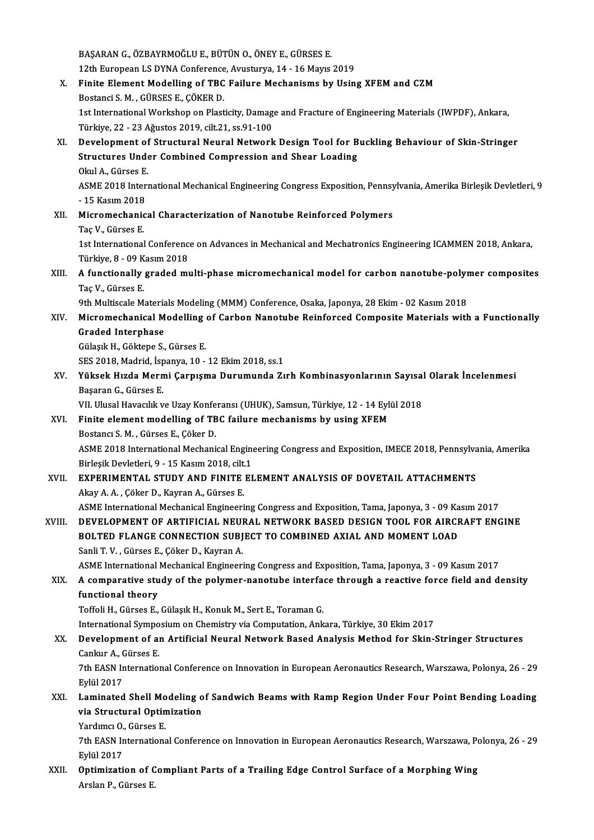BAŞARAN G., ÖZBAYRMOĞLU E., BÜTÜN O., ÖNEY E., GÜRSES E.<br>12th European I S DYNA Conference, Ayusturya 14, 16 Mayıs. BAŞARAN G., ÖZBAYRMOĞLU E., BÜTÜN O., ÖNEY E., GÜRSES E.<br>12th European LS DYNA Conference, Avusturya, 14 - 16 Mayıs 2019<br>Einite Element Modelling of TBC Esilure Mechanisme bu Hein BAŞARAN G., ÖZBAYRMOĞLU E., BÜTÜN O., ÖNEY E., GÜRSES E.<br>12th European LS DYNA Conference, Avusturya, 14 - 16 Mayıs 2019<br>X. Finite Element Modelling of TBC Failure Mechanisms by Using XFEM and CZM<br>Pectangi S.M. GÜRSES E. G 12th European LS DYNA Conference<br>Finite Element Modelling of TBC<br>Bostanci S. M., GÜRSES E., ÇÖKER D.<br>1st International Werksbop on Blast Finite Element Modelling of TBC Failure Mechanisms by Using XFEM and CZM<br>Bostanci S. M. , GÜRSES E., ÇÖKER D.<br>1st International Workshop on Plasticity, Damage and Fracture of Engineering Materials (IWPDF), Ankara,<br>Türkiye Bostanci S. M. , GÜRSES E., ÇÖKER D.<br>1st International Workshop on Plasticity, Damag<br>Türkiye, 22 - 23 Ağustos 2019, cilt.21, ss.91-100<br>Davelopment of Structural Noural Notwork 1st International Workshop on Plasticity, Damage and Fracture of Engineering Materials (IWPDF), Ankara,<br>Türkiye, 22 - 23 Ağustos 2019, cilt.21, ss.91-100<br>XI. Development of Structural Neural Network Design Tool for Bucklin Türkiye, 22 - 23 Ağustos 2019, cilt.21, ss.91-100<br>Development of Structural Neural Network Design Tool for B<br>Structures Under Combined Compression and Shear Loading<br>Olal A. Gürees E **Development of<br>Structures Unde<br>Okul A., Gürses E.<br>ASME 2019 Interi** Structures Under Combined Compression and Shear Loading<br>Okul A., Gürses E.<br>ASME 2018 International Mechanical Engineering Congress Exposition, Pennsylvania, Amerika Birleşik Devletleri, 9<br>15 Kasım 2019 Okul A., Gürses E.<br>ASME 2018 Inter<br>- 15 Kasım 2018<br>Miaromashanis ASME 2018 International Mechanical Engineering Congress Exposition, Pennsy<br>- 15 Kasım 2018<br>XII. Micromechanical Characterization of Nanotube Reinforced Polymers<br>Tee V. Gürees E - 15 Kasım 2018<br>XII. Micromechanical Characterization of Nanotube Reinforced Polymers<br>Taç V., Gürses E. Micromechanical Characterization of Nanotube Reinforced Polymers<br>Taç V., Gürses E.<br>1st International Conference on Advances in Mechanical and Mechatronics Engineering ICAMMEN 2018, Ankara,<br>Türkiye 8, .09 Kesum 2018. Taç V., Gürses E.<br>1st International Conferenc<br>Türkiye, 8 - 09 Kasım 2018<br>A functionally graded mı 1st International Conference on Advances in Mechanical and Mechatronics Engineering ICAMMEN 2018, Ankara,<br>Türkiye, 8 - 09 Kasım 2018<br>XIII. A functionally graded multi-phase micromechanical model for carbon nanotube-pol Türkiye, 8 - 09 K<br><mark>A functionally</mark><br>Taç V., Gürses E.<br><sup>Oth Multiacelo M</sup> A functionally graded multi-phase micromechanical model for carbon nanotube-polyn<br>Taç V., Gürses E.<br>9th Multiscale Materials Modeling (MMM) Conference, Osaka, Japonya, 28 Ekim - 02 Kasım 2018<br>Mianomechanical Modelling of C Taç V., Gürses E.<br>9th Multiscale Materials Modeling (MMM) Conference, Osaka, Japonya, 28 Ekim - 02 Kasım 2018<br>XIV. Micromechanical Modelling of Carbon Nanotube Reinforced Composite Materials with a Functionally<br>Craded 9th Multiscale Materia<br>Micromechanical M<br>Graded Interphase Micromechanical Modelling<br>Graded Interphase<br>Gülaşık H., Göktepe S., Gürses E.<br>SES 2019 Madrid İspanya 10 Graded Interphase<br>Gülaşık H., Göktepe S., Gürses E.<br>SES 2018, Madrid, İspanya, 10 - 12 Ekim 2018, ss.1 Gülaşık H., Göktepe S., Gürses E.<br>SES 2018, Madrid, İspanya, 10 - 12 Ekim 2018, ss.1<br>XV. Yüksek Hızda Mermi Çarpışma Durumunda Zırh Kombinasyonlarının Sayısal Olarak İncelenmesi<br>Reseren G. Gürses E SES 2018, Madrid, İsp<br>**Yüksek Hızda Mern**<br>Başaran G., Gürses E.<br>VII Hlusel Hayasılık v Yüksek Hızda Mermi Çarpışma Durumunda Zırh Kombinasyonlarının Sayısal<br>Başaran G., Gürses E.<br>VII. Ulusal Havacılık ve Uzay Konferansı (UHUK), Samsun, Türkiye, 12 - 14 Eylül 2018<br>Einite alamant modalling of TBC failure mocha Başaran G., Gürses E.<br>VII. Ulusal Havacılık ve Uzay Konferansı (UHUK), Samsun, Türkiye, 12 - 14 Eylı<br>XVI. Finite element modelling of TBC failure mechanisms by using XFEM<br>Pestancı S.M. Gürses E. Göker D. VII. Ulusal Havacılık ve Uzay Konfe<br>Finite element modelling of TB<br>Bostancı S. M. , Gürses E., Çöker D.<br>ASME 2018 International Moshani Finite element modelling of TBC failure mechanisms by using XFEM<br>Bostancı S. M. , Gürses E., Çöker D.<br>ASME 2018 International Mechanical Engineering Congress and Exposition, IMECE 2018, Pennsylvania, Amerika<br>Pirlesik Devle Bostancı S. M. , Gürses E., Çöker D.<br>ASME 2018 International Mechanical Engine<br>Birleşik Devletleri, 9 - 15 Kasım 2018, cilt.1<br>EYRERIMENTAL, STUDY AND EINITE EL ASME 2018 International Mechanical Engineering Congress and Exposition, IMECE 2018, Pennsylva<br>Birleşik Devletleri, 9 - 15 Kasım 2018, cilt.1<br>XVII. EXPERIMENTAL STUDY AND FINITE ELEMENT ANALYSIS OF DOVETAIL ATTACHMENTS Birleşik Devletleri, 9 - 15 Kasım 2018, cilt.<br>EXPERIMENTAL STUDY AND FINITE<br>Akay A. A. , Çöker D., Kayran A., Gürses E.<br>ASME International Mechanisal Engineeri EXPERIMENTAL STUDY AND FINITE ELEMENT ANALYSIS OF DOVETAIL ATTACHMENTS<br>Akay A. A. , Çöker D., Kayran A., Gürses E.<br>ASME International Mechanical Engineering Congress and Exposition, Tama, Japonya, 3 - 09 Kasım 2017<br>DEVELOP Akay A. A. , Çöker D., Kayran A., Gürses E.<br>ASME International Mechanical Engineering Congress and Exposition, Tama, Japonya, 3 - 09 Kasım 2017<br>XVIII. DEVELOPMENT OF ARTIFICIAL NEURAL NETWORK BASED DESIGN TOOL FOR AIRC ASME International Mechanical Engineering Congress and Exposition, Tama, Japonya, 3 - 09 Ka<br>DEVELOPMENT OF ARTIFICIAL NEURAL NETWORK BASED DESIGN TOOL FOR AIRCF<br>BOLTED FLANGE CONNECTION SUBJECT TO COMBINED AXIAL AND MOMENT Sanli T.V., Gürses E., Çöker D., Kayran A. ASME International Mechanical Engineering Congress and Exposition, Tama, Japonya, 3 - 09 Kasım 2017 Sanli T. V. , Gürses E., Çöker D., Kayran A.<br>ASME International Mechanical Engineering Congress and Exposition, Tama, Japonya, 3 - 09 Kasım 2017<br>XIX. A comparative study of the polymer-nanotube interface through a reac functional theory<br>Toffoli H., Gürses E., Gülaşık H., Konuk M., Sert E., Toraman G. A comparative study of the polymer-nanotube interfactional theory<br>Toffoli H., Gürses E., Gülaşık H., Konuk M., Sert E., Toraman G.<br>International Symposium on Chamistry via Computation, Ank International Symposium on Chemistry via Computation, Ankara, Türkiye, 30 Ekim 2017 Toffoli H., Gürses E., Gülaşık H., Konuk M., Sert E., Toraman G.<br>International Symposium on Chemistry via Computation, Ankara, Türkiye, 30 Ekim 2017<br>XX. Development of an Artificial Neural Network Based Analysis Method for International Sympo<br>Development of a<br>Cankur A., Gürses E.<br>7th EASN Internatio Development of an Artificial Neural Network Based Analysis Method for Skin-Stringer Structures<br>Cankur A., Gürses E.<br>7th EASN International Conference on Innovation in European Aeronautics Research, Warszawa, Polonya, 26 - Cankur A., Gürses E.<br>7th EASN International Conference on Innovation in European Aeronautics Research, Warszawa, Polonya, 26 - 29<br>Eylül 2017 7th EASN International Conference on Innovation in European Aeronautics Research, Warszawa, Polonya, 26 - 29<br>Eylül 2017<br>XXI. Laminated Shell Modeling of Sandwich Beams with Ramp Region Under Four Point Bending Loading<br>via Eylül 2017<br>Laminated Shell Modeling o<br>via Structural Optimization<br><sup>Vondumer O. Gürsse E</sup> Laminated Shell Mo<br>via Structural Optin<br>Yardımcı O., Gürses E.<br>7th FASN Internations via Structural Optimization<br>Yardımcı O., Gürses E.<br>7th EASN International Conference on Innovation in European Aeronautics Research, Warszawa, Polonya, 26 - 29<br>Fylül 2017 Yardımcı O.<br>7th EASN Ir<br>Eylül 2017<br>Ontimizati 7th EASN International Conference on Innovation in European Aeronautics Research, Warszawa, Po<br>Eylül 2017<br>XXII. Optimization of Compliant Parts of a Trailing Edge Control Surface of a Morphing Wing Eylül 2017<br><mark>Optimization of C</mark><br>Arslan P., Gürses E.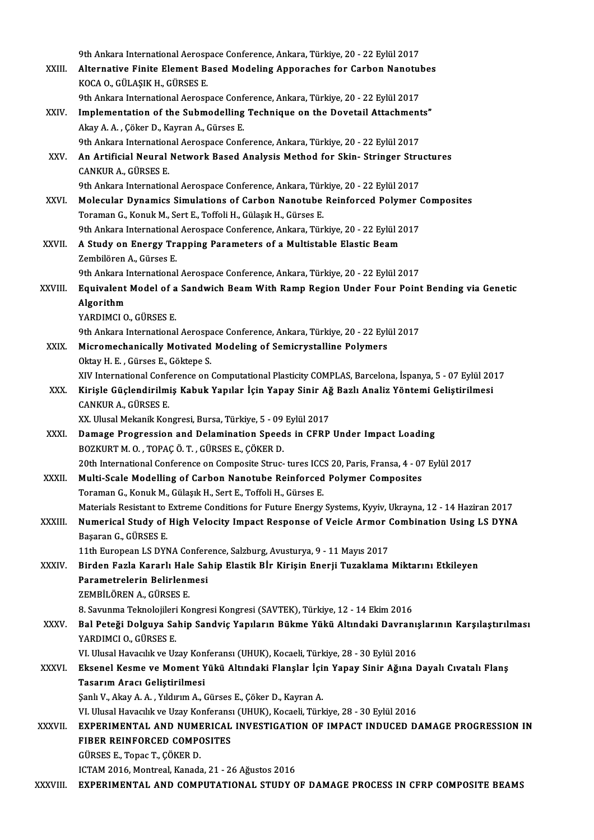|              | 9th Ankara International Aerospace Conference, Ankara, Türkiye, 20 - 22 Eylül 2017                                      |
|--------------|-------------------------------------------------------------------------------------------------------------------------|
| XXIII.       | Alternative Finite Element Based Modeling Apporaches for Carbon Nanotubes<br>KOCA O., GÜLAŞIK H., GÜRSES E.             |
|              | 9th Ankara International Aerospace Conference, Ankara, Türkiye, 20 - 22 Eylül 2017                                      |
| XXIV.        | Implementation of the Submodelling Technique on the Dovetail Attachments"                                               |
|              | Akay A. A., Çöker D., Kayran A., Gürses E.                                                                              |
|              | 9th Ankara International Aerospace Conference, Ankara, Türkiye, 20 - 22 Eylül 2017                                      |
| XXV.         | An Artificial Neural Network Based Analysis Method for Skin-Stringer Structures<br><b>CANKUR A, GÜRSES E</b>            |
|              | 9th Ankara International Aerospace Conference, Ankara, Türkiye, 20 - 22 Eylül 2017                                      |
| XXVI.        | Molecular Dynamics Simulations of Carbon Nanotube Reinforced Polymer Composites                                         |
|              | Toraman G., Konuk M., Sert E., Toffoli H., Gülaşık H., Gürses E.                                                        |
|              | 9th Ankara International Aerospace Conference, Ankara, Türkiye, 20 - 22 Eylül 2017                                      |
| XXVII.       | A Study on Energy Trapping Parameters of a Multistable Elastic Beam                                                     |
|              | Zembilören A., Gürses E.                                                                                                |
|              | 9th Ankara International Aerospace Conference, Ankara, Türkiye, 20 - 22 Eylül 2017                                      |
| XXVIII.      | Equivalent Model of a Sandwich Beam With Ramp Region Under Four Point Bending via Genetic<br>Algorithm                  |
|              | YARDIMCI O., GÜRSES E.                                                                                                  |
|              | 9th Ankara International Aerospace Conference, Ankara, Türkiye, 20 - 22 Eylül 2017                                      |
| XXIX.        | Micromechanically Motivated Modeling of Semicrystalline Polymers                                                        |
|              | Oktay H. E., Gürses E., Göktepe S.                                                                                      |
|              | XIV International Conference on Computational Plasticity COMPLAS, Barcelona, İspanya, 5 - 07 Eylül 2017                 |
| XXX.         | Kirişle Güçlendirilmiş Kabuk Yapılar İçin Yapay Sinir Ağ Bazlı Analiz Yöntemi Geliştirilmesi                            |
|              | <b>CANKUR A, GÜRSES E</b>                                                                                               |
|              | XX. Ulusal Mekanik Kongresi, Bursa, Türkiye, 5 - 09 Eylül 2017                                                          |
| XXXI.        | Damage Progression and Delamination Speeds in CFRP Under Impact Loading                                                 |
|              | BOZKURT M. O., TOPAÇ Ö. T., GÜRSES E., ÇÖKER D.                                                                         |
|              | 20th International Conference on Composite Struc- tures ICCS 20, Paris, Fransa, 4 - 07 Eylül 2017                       |
| XXXII.       | Multi-Scale Modelling of Carbon Nanotube Reinforced Polymer Composites                                                  |
|              | Toraman G., Konuk M., Gülaşık H., Sert E., Toffoli H., Gürses E.                                                        |
|              | Materials Resistant to Extreme Conditions for Future Energy Systems, Kyyiv, Ukrayna, 12 - 14 Haziran 2017               |
| XXXIII.      | Numerical Study of High Velocity Impact Response of Veicle Armor Combination Using LS DYNA                              |
| XXXIV.       | Başaran G., GÜRSES E.                                                                                                   |
|              | 11th European LS DYNA Conference, Salzburg, Avusturya, 9 - 11 Mayıs 2017                                                |
|              | Birden Fazla Kararlı Hale Sahip Elastik Bİr Kirişin Enerji Tuzaklama Miktarını Etkileyen<br>Parametrelerin Belirlenmesi |
|              | ZEMBİLÖREN A., GÜRSES E.                                                                                                |
|              | 8. Savunma Teknolojileri Kongresi Kongresi (SAVTEK), Türkiye, 12 - 14 Ekim 2016                                         |
| XXXV.        | Bal Peteği Dolguya Sahip Sandviç Yapıların Bükme Yükü Altındaki Davranışlarının Karşılaştırılması                       |
|              | YARDIMCI O., GÜRSES E.                                                                                                  |
|              | VI. Ulusal Havacılık ve Uzay Konferansı (UHUK), Kocaeli, Türkiye, 28 - 30 Eylül 2016                                    |
| <b>XXXVI</b> | Eksenel Kesme ve Moment Yükü Altındaki Flanşlar İçin Yapay Sinir Ağına Dayalı Cıvatalı Flanş                            |
|              | Tasarım Aracı Geliştirilmesi                                                                                            |
|              | Şanlı V., Akay A. A., Yıldırım A., Gürses E., Çöker D., Kayran A.                                                       |
|              | VI. Ulusal Havacılık ve Uzay Konferansı (UHUK), Kocaeli, Türkiye, 28 - 30 Eylül 2016                                    |
| XXXVII.      | EXPERIMENTAL AND NUMERICAL INVESTIGATION OF IMPACT INDUCED DAMAGE PROGRESSION IN                                        |
|              | FIBER REINFORCED COMPOSITES                                                                                             |
|              | GÜRSES E., Topac T., ÇÖKER D.                                                                                           |
|              | ICTAM 2016, Montreal, Kanada, 21 - 26 Ağustos 2016                                                                      |
| XXXVIII.     | EXPERIMENTAL AND COMPUTATIONAL STUDY OF DAMAGE PROCESS IN CFRP COMPOSITE BEAMS                                          |
|              |                                                                                                                         |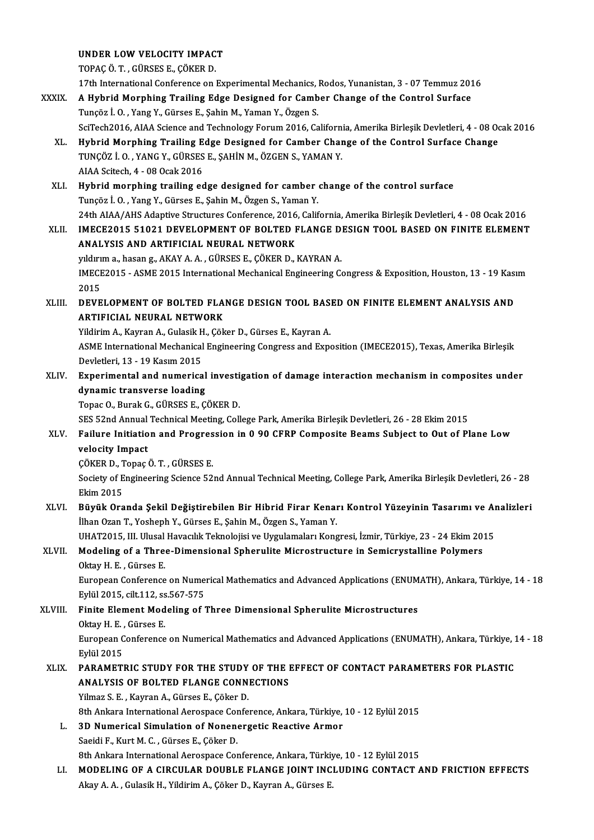UNDER LOWVELOCITY IMPACT

TOPAÇÖ.T. ,GÜRSESE.,ÇÖKERD.

17th InternationalConference onExperimentalMechanics,Rodos,Yunanistan,3 -07Temmuz2016

TOPAÇ Ö. T. , GÜRSES E., ÇÖKER D.<br>17th International Conference on Experimental Mechanics, Rodos, Yunanistan, 3 - 07 Temmuz 201<br>XXXIX. A Hybrid Morphing Trailing Edge Designed for Camber Change of the Control Surface<br>Tungë 17th International Conference on Experimental Mechanics, 1<br>A Hybrid Morphing Trailing Edge Designed for Camb<br>Tunçöz İ. O. , Yang Y., Gürses E., Şahin M., Yaman Y., Özgen S.<br>SeïTech2016, AJAA Science and Technology Forum 20 A Hybrid Morphing Trailing Edge Designed for Camber Change of the Control Surface<br>Tunçöz İ. O. , Yang Y., Gürses E., Şahin M., Yaman Y., Özgen S.<br>SciTech2016, AIAA Science and Technology Forum 2016, California, Amerika Bir Tunçöz İ. O. , Yang Y., Gürses E., Şahin M., Yaman Y., Özgen S.<br>SciTech2016, AIAA Science and Technology Forum 2016, California, Amerika Birleşik Devletleri, 4 - 08 Oc<br>XL. Hybrid Morphing Trailing Edge Designed for Camber SciTech2016, AIAA Science and Technology Forum 2016, Californ<br>Hybrid Morphing Trailing Edge Designed for Camber Char<br>TUNÇÖZ İ.O., YANG Y., GÜRSES E., ŞAHİN M., ÖZGEN S., YAMAN Y. Hybrid Morphing Trailing E<br>TUNÇÖZ İ. O. , YANG Y., GÜRSES<br>AIAA Scitech, 4 - 08 Ocak 2016<br>Hubrid mornbing trailing ed TUNÇÖZ İ. O. , YANG Y., GÜRSES E., ŞAHİN M., ÖZGEN S., YAMAN Y.<br>AIAA Scitech, 4 - 08 Ocak 2016<br>XLI. Hybrid morphing trailing edge designed for camber change of the control surface<br>Tungëz L.O. Yang Y. Gürses E. Sabin M. Özg AIAA Scitech, 4 - 08 Ocak 2016<br>Hybrid morphing trailing edge designed for camber<br>Tunçöz İ. O. , Yang Y., Gürses E., Şahin M., Özgen S., Yaman Y.<br>24th AIAA (AHS Adaptive Structures Conference 2016, Gelif Hybrid morphing trailing edge designed for camber change of the control surface<br>Tunçöz İ. O. , Yang Y., Gürses E., Şahin M., Özgen S., Yaman Y.<br>24th AIAA/AHS Adaptive Structures Conference, 2016, California, Amerika Birleş Tunçöz İ. O. , Yang Y., Gürses E., Şahin M., Özgen S., Yaman Y.<br>24th AIAA/AHS Adaptive Structures Conference, 2016, California, Amerika Birleşik Devletleri, 4 - 08 Ocak 2016<br>2011 - IMECE2015 51021 DEVELOPMENT OF BOLTED FLA 24th AIAA/AHS Adaptive Structures Conference, 2016<br>IMECE2015 51021 DEVELOPMENT OF BOLTED F<br>ANALYSIS AND ARTIFICIAL NEURAL NETWORK IMECE2015 51021 DEVELOPMENT OF BOLTED FLANGE D<br>ANALYSIS AND ARTIFICIAL NEURAL NETWORK<br>yıldırım a., hasan g., AKAY A.A., GÜRSES E., ÇÖKER D., KAYRAN A.<br>IMECE2015 - ASME 2015 International Mechanisal Engineering G ANALYSIS AND ARTIFICIAL NEURAL NETWORK<br>yıldırım a., hasan g., AKAY A. A. , GÜRSES E., ÇÖKER D., KAYRAN A.<br>IMECE2015 - ASME 2015 International Mechanical Engineering Congress & Exposition, Houston, 13 - 19 Kasım<br>2015 **y**ıldırı<br>IMECE<br>2015<br>DEVE IMECE2015 - ASME 2015 International Mechanical Engineering Congress & Exposition, Houston, 13 - 19 Kass<br>2015<br>ARTIEICIAL NEURAL NETWORK 2015<br>XLIII. DEVELOPMENT OF BOLTED FLANGE DESIGN TOOL BASED ON FINITE ELEMENT ANALYSIS AND<br>ARTIFICIAL NEURAL NETWORK DEVELOPMENT OF BOLTED FLANGE DESIGN TOOL BAS.<br>ARTIFICIAL NEURAL NETWORK<br>Yildirim A., Kayran A., Gulasik H., Çöker D., Gürses E., Kayran A.<br>ASME International Mechanical Engineering Congress and Eune ASME International Mechanical Engineering Congress and Exposition (IMECE2015), Texas, Amerika Birleşik<br>Devletleri, 13 - 19 Kasım 2015 Yildirim A., Kayran A., Gulasik H<br>ASME International Mechanical<br>Devletleri, 13 - 19 Kasım 2015<br>Exnorimantal and numarica ASME International Mechanical Engineering Congress and Exposition (IMECE2015), Texas, Amerika Birleşik<br>Devletleri, 13 - 19 Kasım 2015<br>XLIV. Experimental and numerical investigation of damage interaction mechanism in compos Devletleri, 13 - 19 Kasım 2015<br>Experimental and numerical<br>dynamic transverse loading<br>Tanas O. Burak C. CÜBSES E. C Experimental and numerical investi<br>dynamic transverse loading<br>Topac O., Burak G., GÜRSES E., ÇÖKER D.<br>SES 52nd Annual Technical Meeting Coll dynamic transverse loading<br>Topac O., Burak G., GÜRSES E., ÇÖKER D.<br>SES 52nd Annual Technical Meeting, College Park, Amerika Birleşik Devletleri, 26 - 28 Ekim 2015<br>Failure Initiation and Progression in 0.90 CEPP Composite B Topac O., Burak G., GÜRSES E., ÇÖKER D.<br>SES 52nd Annual Technical Meeting, College Park, Amerika Birleşik Devletleri, 26 - 28 Ekim 2015<br>XLV. Failure Initiation and Progression in 0 90 CFRP Composite Beams Subject to Out of **SES 52nd Annual<br>Failure Initiatio<br>velocity Impact<br>CÖVEP D. Topes** Failure Initiation and Progres<br>velocity Impact<br>ÇÖKER D., Topaç Ö.T., GÜRSES E.<br>Seciety of Engineering Science 52. Society of Engineering Science 52nd Annual Technical Meeting, College Park, Amerika Birleşik Devletleri, 26 - 28<br>Ekim 2015 ÇÖKER D., T<br>Society of E<br>Ekim 2015<br>Püvük Ora Society of Engineering Science 52nd Annual Technical Meeting, College Park, Amerika Birleşik Devletleri, 26 - 28<br>Ekim 2015<br>XLVI. Büyük Oranda Şekil Değiştirebilen Bir Hibrid Firar Kenarı Kontrol Yüzeyinin Tasarımı ve Anali Ekim 2015<br>Büyük Oranda Şekil Değiştirebilen Bir Hibrid Firar Kenaı<br>İlhan Ozan T., Yosheph Y., Gürses E., Şahin M., Özgen S., Yaman Y.<br>UHAT2015 W. Ulusel Havasılık Telmolajisi ve Uvrulamaları Kana Büyük Oranda Şekil Değiştirebilen Bir Hibrid Firar Kenarı Kontrol Yüzeyinin Tasarımı ve Aı<br>İlhan Ozan T., Yosheph Y., Gürses E., Şahin M., Özgen S., Yaman Y.<br>UHAT2015, III. Ulusal Havacılık Teknolojisi ve Uygulamaları Kong ilhan Ozan T., Yosheph Y., Gürses E., Şahin M., Özgen S., Yaman Y.<br>UHAT2015, III. Ulusal Havacılık Teknolojisi ve Uygulamaları Kongresi, İzmir, Türkiye, 23 - 24 Ekim 20:<br>XLVII. Modeling of a Three-Dimensional Spherulite Mi UHAT2015, III. Ulusal<br>Modeling of a Three<br>Oktay H. E. , Gürses E.<br>European Conference Oktay H. E. , Gürses E.<br>European Conference on Numerical Mathematics and Advanced Applications (ENUMATH), Ankara, Türkiye, 14 - 18 Oktay H. E. , Gürses E.<br>European Conference on Nume:<br>Eylül 2015, cilt.112, ss.567-575<br>Finite Flament Modeling of 2 XLVIII. Finite Element Modeling of Three Dimensional Spherulite Microstructures<br>Oktay H. E., Gürses E. Eylül 2015, cilt.112, ss<br>Finite Element Mod<br>Oktay H. E. , Gürses E.<br>European Conference Finite Element Modeling of Three Dimensional Spherulite Microstructures<br>Oktay H. E. , Gürses E.<br>European Conference on Numerical Mathematics and Advanced Applications (ENUMATH), Ankara, Türkiye, 14 - 18<br>Evlül 2015 Oktay H. E. ,<br>European C<br>Eylül 2015<br>BABAMETI European Conference on Numerical Mathematics and Advanced Applications (ENUMATH), Ankara, Türkiye, 1<br>Eylül 2015<br>XLIX. PARAMETRIC STUDY FOR THE STUDY OF THE EFFECT OF CONTACT PARAMETERS FOR PLASTIC Eylül 2015<br>PARAMETRIC STUDY FOR THE STUDY OF THE I<br>ANALYSIS OF BOLTED FLANGE CONNECTIONS<br>Vilmer S. E., Keyran A. Gürece E. Göker D PARAMETRIC STUDY FOR THE STUDY<br>ANALYSIS OF BOLTED FLANGE CONN.<br>Yilmaz S. E. , Kayran A., Gürses E., Çöker D.<br><sup>9th</sup> Ankara International Acrospese Confo. 8thALYSIS OF BOLTED FLANGE CONNECTIONS<br>19th Ankara International Aerospace Conference, Ankara, Türkiye, 10 - 12 Eylül 2015<br>8th Ankara International Aerospace Conference, Ankara, Türkiye, 10 - 12 Eylül 2015 L. 3D Numerical Simulation of Nonenergetic Reactive Armor SaeidiF.,KurtM.C. ,GürsesE.,ÇökerD. 8th Ankara International Aerospace Conference, Ankara, Türkiye, 10 - 12 Eylül 2015 LI. MODELING OF A CIRCULAR DOUBLE FLANGE JOINT INCLUDING CONTACT AND FRICTION EFFECTS Akay A. A., Gulasik H., Yildirim A., Çöker D., Kayran A., Gürses E.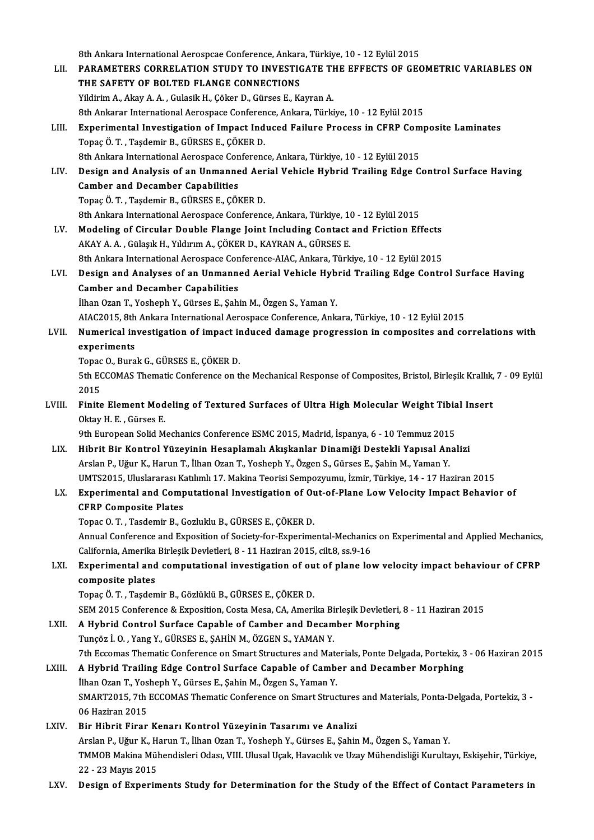8th Ankara International Aerospcae Conference, Ankara, Türkiye, 10 - 12 Eylül 2015<br>RARAMETERS CORRELATION STUDY TO INVESTICATE THE EEEECTS OF CEC

|        | 8th Ankara International Aerospcae Conference, Ankara, Türkiye, 10 - 12 Eylül 2015                                                                                                             |
|--------|------------------------------------------------------------------------------------------------------------------------------------------------------------------------------------------------|
| LII.   | PARAMETERS CORRELATION STUDY TO INVESTIGATE THE EFFECTS OF GEOMETRIC VARIABLES ON                                                                                                              |
|        | THE SAFETY OF BOLTED FLANGE CONNECTIONS                                                                                                                                                        |
|        | Yildirim A., Akay A. A., Gulasik H., Çöker D., Gürses E., Kayran A.                                                                                                                            |
|        | 8th Ankarar International Aerospace Conference, Ankara, Türkiye, 10 - 12 Eylül 2015                                                                                                            |
| LIII.  | Experimental Investigation of Impact Induced Failure Process in CFRP Composite Laminates                                                                                                       |
|        | Topaç Ö. T., Taşdemir B., GÜRSES E., ÇÖKER D.                                                                                                                                                  |
|        | 8th Ankara International Aerospace Conference, Ankara, Türkiye, 10 - 12 Eylül 2015                                                                                                             |
| LIV.   | Design and Analysis of an Unmanned Aerial Vehicle Hybrid Trailing Edge Control Surface Having                                                                                                  |
|        | <b>Camber and Decamber Capabilities</b>                                                                                                                                                        |
|        | Topaç Ö. T., Taşdemir B., GÜRSES E., ÇÖKER D.                                                                                                                                                  |
|        | 8th Ankara International Aerospace Conference, Ankara, Türkiye, 10 - 12 Eylül 2015                                                                                                             |
| LV.    | Modeling of Circular Double Flange Joint Including Contact and Friction Effects                                                                                                                |
|        | AKAY A. A., Gülaşık H., Yıldırım A., ÇÖKER D., KAYRAN A., GÜRSES E.                                                                                                                            |
|        | 8th Ankara International Aerospace Conference-AIAC, Ankara, Türkiye, 10 - 12 Eylül 2015                                                                                                        |
| LVI.   | Design and Analyses of an Unmanned Aerial Vehicle Hybrid Trailing Edge Control Surface Having                                                                                                  |
|        | <b>Camber and Decamber Capabilities</b>                                                                                                                                                        |
|        | İlhan Ozan T., Yosheph Y., Gürses E., Şahin M., Özgen S., Yaman Y.                                                                                                                             |
|        | AIAC2015, 8th Ankara International Aerospace Conference, Ankara, Türkiye, 10 - 12 Eylül 2015                                                                                                   |
| LVII.  | Numerical investigation of impact induced damage progression in composites and correlations with                                                                                               |
|        | experiments                                                                                                                                                                                    |
|        | Topac O., Burak G., GÜRSES E., ÇÖKER D.                                                                                                                                                        |
|        | 5th ECCOMAS Thematic Conference on the Mechanical Response of Composites, Bristol, Birleşik Krallık, 7 - 09 Eylül                                                                              |
|        | 2015                                                                                                                                                                                           |
| LVIII. | Finite Element Modeling of Textured Surfaces of Ultra High Molecular Weight Tibial Insert                                                                                                      |
|        | Oktay H. E., Gürses E.                                                                                                                                                                         |
|        | 9th European Solid Mechanics Conference ESMC 2015, Madrid, İspanya, 6 - 10 Temmuz 2015                                                                                                         |
| LIX.   | Hibrit Bir Kontrol Yüzeyinin Hesaplamalı Akışkanlar Dinamiği Destekli Yapısal Analizi                                                                                                          |
|        | Arslan P., Uğur K., Harun T., İlhan Ozan T., Yosheph Y., Özgen S., Gürses E., Şahin M., Yaman Y.                                                                                               |
|        | UMTS2015, Uluslararası Katılımlı 17. Makina Teorisi Sempozyumu, İzmir, Türkiye, 14 - 17 Haziran 2015                                                                                           |
| LX.    | Experimental and Computational Investigation of Out-of-Plane Low Velocity Impact Behavior of                                                                                                   |
|        | <b>CFRP Composite Plates</b>                                                                                                                                                                   |
|        | Topac O.T., Tasdemir B., Gozluklu B., GÜRSES E., ÇÖKER D.                                                                                                                                      |
|        | Annual Conference and Exposition of Society-for-Experimental-Mechanics on Experimental and Applied Mechanics,<br>California, Amerika Birleşik Devletleri, 8 - 11 Haziran 2015, cilt.8, ss.9-16 |
| LXI.   | Experimental and computational investigation of out of plane low velocity impact behaviour of CFRP                                                                                             |
|        | composite plates                                                                                                                                                                               |
|        | Topaç Ö. T., Taşdemir B., Gözlüklü B., GÜRSES E., ÇÖKER D.                                                                                                                                     |
|        | SEM 2015 Conference & Exposition, Costa Mesa, CA, Amerika Birleşik Devletleri, 8 - 11 Haziran 2015                                                                                             |
| LXII.  | A Hybrid Control Surface Capable of Camber and Decamber Morphing                                                                                                                               |
|        | Tunçöz İ. O., Yang Y., GÜRSES E., ŞAHİN M., ÖZGEN S., YAMAN Y.                                                                                                                                 |
|        | 7th Eccomas Thematic Conference on Smart Structures and Materials, Ponte Delgada, Portekiz, 3 - 06 Haziran 2015                                                                                |
| LXIII. | A Hybrid Trailing Edge Control Surface Capable of Camber and Decamber Morphing                                                                                                                 |
|        | İlhan Ozan T., Yosheph Y., Gürses E., Şahin M., Özgen S., Yaman Y.                                                                                                                             |
|        | SMART2015, 7th ECCOMAS Thematic Conference on Smart Structures and Materials, Ponta-Delgada, Portekiz, 3 -                                                                                     |
|        | 06 Haziran 2015                                                                                                                                                                                |
| LXIV.  | Bir Hibrit Firar Kenarı Kontrol Yüzeyinin Tasarımı ve Analizi                                                                                                                                  |
|        | Arslan P., Uğur K., Harun T., İlhan Ozan T., Yosheph Y., Gürses E., Şahin M., Özgen S., Yaman Y.                                                                                               |
|        | TMMOB Makina Mühendisleri Odası, VIII. Ulusal Uçak, Havacılık ve Uzay Mühendisliği Kurultayı, Eskişehir, Türkiye,                                                                              |
|        | 22 - 23 Mayıs 2015                                                                                                                                                                             |
| LXV.   | Design of Experiments Study for Determination for the Study of the Effect of Contact Parameters in                                                                                             |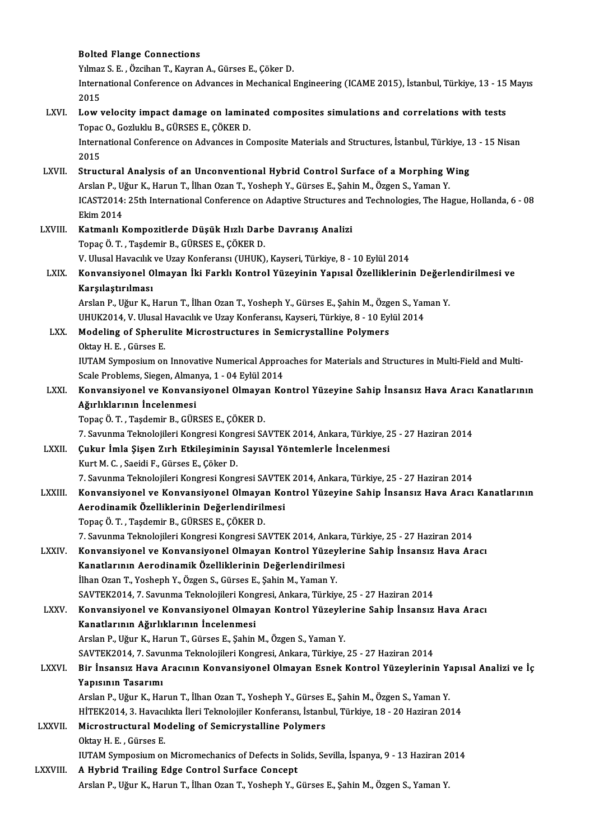#### Bolted Flange Connections

**Bolted Flange Connections<br>Yılmaz S.E. , Özcihan T., Kayran A., Gürses E., Çöker D.<br>International Conference en Advances in Meshanisal I** 

International Conference on Advances in Mechanical Engineering (ICAME 2015), İstanbul, Türkiye, 13 - 15 Mayıs<br>2015 Yılmaz<br>Intern<br>2015<br>Low y International Conference on Advances in Mechanical Engineering (ICAME 2015), İstanbul, Türkiye, 13 - 15<br>2015<br>LXVI. Low velocity impact damage on laminated composites simulations and correlations with tests<br>Tense O. Cerluky

2015<br>Low velocity impact damage on lamin:<br>Topac O., Gozluklu B., GÜRSES E., ÇÖKER D.<br>International Conference on Advances in C Low velocity impact damage on laminated composites simulations and correlations with tests<br>Topac 0., Gozluklu B., GÜRSES E., ÇÖKER D.<br>International Conference on Advances in Composite Materials and Structures, İstanbul, Tü

Topac<br>Intern<br>2015<br>Strug International Conference on Advances in Composite Materials and Structures, İstanbul, Türkiye, 1<br>2015<br>LXVII. Structural Analysis of an Unconventional Hybrid Control Surface of a Morphing Wing<br>Arclan B. Häur K. Harun T. İlb

- 2015<br>Structural Analysis of an Unconventional Hybrid Control Surface of a Morphing V<br>Arslan P., Uğur K., Harun T., İlhan Ozan T., Yosheph Y., Gürses E., Şahin M., Özgen S., Yaman Y.<br>ICAST2014: 25th International Conference Structural Analysis of an Unconventional Hybrid Control Surface of a Morphing Wing<br>Arslan P., Uğur K., Harun T., İlhan Ozan T., Yosheph Y., Gürses E., Şahin M., Özgen S., Yaman Y.<br>ICAST2014: 25th International Conference o Arslan P., Uğur K., Harun T., İlhan Ozan T., Yosheph Y., Gürses E., Şahin M., Özgen S., Yaman Y.<br>ICAST2014: 25th International Conference on Adaptive Structures and Technologies, The Ha<br>Ekim 2014<br>Katmanlı Kompozitlerde Düş ICAST2014: 25th International Conference on Adaptive Structures a:<br>Ekim 2014<br>LXVIII. Katmanlı Kompozitlerde Düşük Hızlı Darbe Davranış Analizi<br>Tenes Ö T. Tesdemir B. CÜREES E. GÖKER D.
- Topaç Ö.T., Taşdemir B., GÜRSES E., ÇÖKER D. Katmanlı Kompozitlerde Düşük Hızlı Darbe Davranış Analizi<br>Topaç Ö. T. , Taşdemir B., GÜRSES E., ÇÖKER D.<br>V. Ulusal Havacılık ve Uzay Konferansı (UHUK), Kayseri, Türkiye, 8 - 10 Eylül 2014<br>Konvensiyenel Olmayan İlti Farklı

LXIX. Konvansiyonel Olmayan İki Farklı Kontrol Yüzeyinin Yapısal Özel iklerinin Değerlendirilmesi ve V. Ulusal Havacılık<br>Konvansiyonel O<br>Karşılaştırılması<br>Arslap B. Hğur K. I Konvansiyonel Olmayan İki Farklı Kontrol Yüzeyinin Yapısal Özelliklerinin Değerl<br>Karşılaştırılması<br>Arslan P., Uğur K., Harun T., İlhan Ozan T., Yosheph Y., Gürses E., Şahin M., Özgen S., Yaman Y.<br>UHUZ2014 V. Ulusal Havasıl

Karşılaştırılması<br>Arslan P., Uğur K., Harun T., İlhan Ozan T., Yosheph Y., Gürses E., Şahin M., Özgen S., Yan<br>UHUK2014, V. Ulusal Havacılık ve Uzay Konferansı, Kayseri, Türkiye, 8 - 10 Eylül 2014<br>Medeling of Spherulite Mis UHUK2014, V. Ulusal Havacılık ve Uzay Konferansı, Kayseri, Türkiye, 8 - 10 Eylül 2014

- LXX. Modeling of Spherulite Microstructures in Semicrystalline Polymers<br>Oktay H. E., Gürses E. IUTAM Symposium on Innovative Numerical Approaches for Materials and Structures in Multi-Field and Multi-Oktay H. E. , Gürses E.<br>IUTAM Symposium on Innovative Numerical Appro.<br>Scale Problems, Siegen, Almanya, 1 - 04 Eylül 2014<br>Konvensivenel ve Konvensivenel Olmayan Ko
- IUTAM Symposium on Innovative Numerical Approaches for Materials and Structures in Multi-Field and Multi-Scale Problems, Siegen, Almanya, 1 04 Eylül 2014<br>LXXI. Konvansiyonel ve Konvansiyonel Olmayan Kontrol Yüzeyine Sahi Scale Problems, Siegen, Alman<br>Konvansiyonel ve Konvan:<br>Ağırlıklarının İncelenmesi<br>Tanas Ö.T., Tasdamir B. GÜP Konvansiyonel ve Konvansiyonel Olmaya<br>Ağırlıklarının İncelenmesi<br>Topaç Ö. T. , Taşdemir B., GÜRSES E., ÇÖKER D.<br>7. Sayınma Telmeleilleri Kongresi Kongresi SA

**Ağırlıklarının İncelenmesi**<br>Topaç Ö. T. , Taşdemir B., GÜRSES E., ÇÖKER D.<br>7. Savunma Teknolojileri Kongresi Kongresi SAVTEK 2014, Ankara, Türkiye, 25 - 27 Haziran 2014

LXXII. Çukur İmla Şişen Zırh Etkileşiminin Sayısal Yöntemlerle İncelenmesi KurtM.C. ,SaeidiF.,GürsesE.,ÇökerD.

7. Savunma Teknolojileri Kongresi Kongresi SAVTEK 2014, Ankara, Türkiye, 25 - 27 Haziran 2014

- LXXIII. Konvansiyonel ve Konvansiyonel Olmayan Kontrol Yüzeyine Sahip İnsansız Hava Aracı Kanatlarının 7. Savunma Teknolojileri Kongresi Kongresi SAVTEI<br>Konvansiyonel ve Konvansiyonel Olmayan Ko<br>Aerodinamik Özelliklerinin Değerlendirilmesi<br>Tenes Ö.T. Teedemir B. GÜRSES E. GÖKER D Konvansiyonel ve Konvansiyonel Olmaya<br>Aerodinamik Özelliklerinin Değerlendirilı<br>Topaç Ö.T., Taşdemir B., GÜRSES E., ÇÖKER D.<br>7. Serunma Telmeleilleri Kongresi Kongresi SA
	-

Topaç Ö. T. , Taşdemir B., GÜRSES E., ÇÖKER D.<br>7. Savunma Teknolojileri Kongresi Kongresi SAVTEK 2014, Ankara, Türkiye, 25 - 27 Haziran 2014

Topaç Ö. T. , Taşdemir B., GÜRSES E., ÇÖKER D.<br>7. Savunma Teknolojileri Kongresi Kongresi SAVTEK 2014, Ankara, Türkiye, 25 - 27 Haziran 2014<br>2. Konvansiyonel ve Konvansiyonel Olmayan Kontrol Yüzeylerine Sahip İnsansız Hava 7. Savunma Teknolojileri Kongresi Kongresi SAVTEK 2014, Ankara<br>Konvansiyonel ve Konvansiyonel Olmayan Kontrol Yüzeyle<br>Kanatlarının Aerodinamik Özelliklerinin Değerlendirilmesi<br><sup>İlban Oran T. Yoshanb V. Özgan S. Gürses E. S</sup> Konvansiyonel ve Konvansiyonel Olmayan Kontrol Yüzey<br>Kanatlarının Aerodinamik Özelliklerinin Değerlendirilme:<br>İlhan Ozan T., Yosheph Y., Özgen S., Gürses E., Şahin M., Yaman Y.<br>SAVTEK2014, 7. Sayınma Teknolojileri Kongresi Kanatlarının Aerodinamik Özelliklerinin Değerlendirilmesi<br>İlhan Ozan T., Yosheph Y., Özgen S., Gürses E., Şahin M., Yaman Y.<br>SAVTEK2014, 7. Savunma Teknolojileri Kongresi, Ankara, Türkiye, 25 - 27 Haziran 2014<br>Konyansiyane İlhan Ozan T., Yosheph Y., Özgen S., Gürses E., Şahin M., Yaman Y.<br>SAVTEK2014, 7. Savunma Teknolojileri Kongresi, Ankara, Türkiye, 25 - 27 Haziran 2014<br>LXXV. Konvansiyonel ve Konvansiyonel Olmayan Kontrol Yüzeylerine S

SAVTEK2014, 7. Savunma Teknolojileri Kong<br>Konvansiyonel ve Konvansiyonel Olmay<br>Kanatlarının Ağırlıklarının İncelenmesi<br>Arslan B. Häur K. Harun T. Gürses E. Sabin ArslanP.,UğurK.,HarunT.,GürsesE.,ŞahinM.,ÖzgenS.,YamanY. Kanatlarının Ağırlıklarının İncelenmesi<br>Arslan P., Uğur K., Harun T., Gürses E., Şahin M., Özgen S., Yaman Y.<br>SAVTEK2014, 7. Savunma Teknolojileri Kongresi, Ankara, Türkiye, 25 - 27 Haziran 2014<br>Pir İncansır Have Arssının Arslan P., Uğur K., Harun T., Gürses E., Şahin M., Özgen S., Yaman Y.<br>SAVTEK2014, 7. Savunma Teknolojileri Kongresi, Ankara, Türkiye, 25 - 27 Haziran 2014<br>LXXVI. Bir İnsansız Hava Aracının Konvansiyonel Olmayan Esnek K

# SAVTEK2014, 7. Savu<br>Bir İnsansız Hava *I*<br>Yapısının Tasarımı<br>Arslan B. Häur K. Ha Bir İnsansız Hava Aracının Konvansiyonel Olmayan Esnek Kontrol Yüzeylerinin Y.<br>Yapısının Tasarımı<br>Arslan P., Uğur K., Harun T., İlhan Ozan T., Yosheph Y., Gürses E., Şahin M., Özgen S., Yaman Y.<br>HiTEK2014 3. Havasılıka İle

Yapısının Tasarımı<br>Arslan P., Uğur K., Harun T., İlhan Ozan T., Yosheph Y., Gürses E., Şahin M., Özgen S., Yaman Y.<br>HİTEK2014, 3. Havacılıkta İleri Teknolojiler Konferansı, İstanbul, Türkiye, 18 - 20 Haziran 2014<br>Mianostru Arslan P., Uğur K., Harun T., İlhan Ozan T., Yosheph Y., Gürses E., Şahin M., Özgen S., Yaman Y.<br>HİTEK2014, 3. Havacılıkta İleri Teknolojiler Konferansı, İstanbul, Türkiye, 18 - 20 Haziran 20<br>LXXVII. Microstructural Modeli

- HİTEK2014, 3. Havacı<br>Microstructural Mo<br>Oktay H. E. , Gürses E.<br>HITAM Sumnosium on IUTAM Symposium on Micromechanics of Defects in Solids, Sevilla, İspanya, 9 - 13 Haziran 2014
- LXXVIII. A Hybrid Trailing Edge Control Surface Concept Arslan P., Uğur K., Harun T., İlhan Ozan T., Yosheph Y., Gürses E., Şahin M., Özgen S., Yaman Y.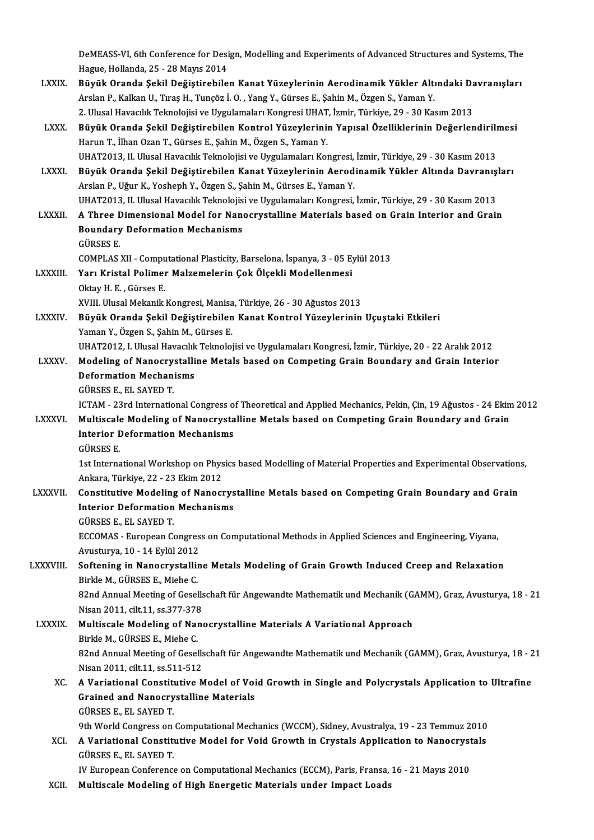DeMEASS-VI, 6th Conference for Design, Modelling and Experiments of Advanced Structures and Systems, The<br>Hague Hellanda 25, 28 Mayıs 2014 DeMEASS-VI, 6th Conference for Desi<br>Hague, Hollanda, 25 - 28 Mayıs 2014<br>Büyük Oranda Sakil Değistirabile DeMEASS-VI, 6th Conference for Design, Modelling and Experiments of Advanced Structures and Systems, The<br>Hague, Hollanda, 25 - 28 Mayıs 2014<br>LXXIX. Büyük Oranda Şekil Değiştirebilen Kanat Yüzeylerinin Aerodinamik Yükler Al Hague, Hollanda, 25 - 28 Mayıs 2014<br><mark>Büyük Oranda Şekil Değiştirebilen Kanat Yüzeylerinin Aerodinamik Yükler Altı</mark><br>Arslan P., Kalkan U., Tıraş H., Tunçöz İ. O. , Yang Y., Gürses E., Şahin M., Özgen S., Yaman Y.<br>2. Ulusel H Büyük Oranda Şekil Değiştirebilen Kanat Yüzeylerinin Aerodinamik Yükler Altındaki Da<br>Arslan P., Kalkan U., Tıraş H., Tunçöz İ. O. , Yang Y., Gürses E., Şahin M., Özgen S., Yaman Y.<br>2. Ulusal Havacılık Teknolojisi ve Uygula Arslan P., Kalkan U., Tıraş H., Tunçöz İ. O. , Yang Y., Gürses E., Şahin M., Özgen S., Yaman Y.<br>2. Ulusal Havacılık Teknolojisi ve Uygulamaları Kongresi UHAT, İzmir, Türkiye, 29 - 30 Kasım 2013<br>2. LXXX. Büyük Oranda Şekil 2. Ulusal Havacılık Teknolojisi ve Uygulamaları Kongresi UHAT, İzmir, Türkiye, 29 - 30 Kasım 2013<br>Büyük Oranda Şekil Değiştirebilen Kontrol Yüzeylerinin Yapısal Özelliklerinin Değerlendiril<br>Harun T., İlhan Ozan T., Gürses Büyük Oranda Şekil Değiştirebilen Kontrol Yüzeylerinin Yapısal Özelliklerinin Değerlendirilı<br>Harun T., İlhan Ozan T., Gürses E., Şahin M., Özgen S., Yaman Y.<br>UHAT2013, II. Ulusal Havacılık Teknolojisi ve Uygulamaları Kongr LXXXI. Büyük Oranda Şekil Değiştirebilen Kanat Yüzeylerinin Aerodinamik Yükler Altında Davranışları ArslanP.,UğurK.,YoshephY.,ÖzgenS.,ŞahinM.,GürsesE.,YamanY. Büyük Oranda Şekil Değiştirebilen Kanat Yüzeylerinin Aerodinamik Yükler Altında Davranış<br>Arslan P., Uğur K., Yosheph Y., Özgen S., Şahin M., Gürses E., Yaman Y.<br>UHAT2013, II. Ulusal Havacılık Teknolojisi ve Uygulamaları Ko Arslan P., Uğur K., Yosheph Y., Özgen S., Şahin M., Gürses E., Yaman Y.<br>13 UHAT2013, II. Ulusal Havacılık Teknolojisi ve Uygulamaları Kongresi, İzmir, Türkiye, 29 - 30 Kasım 2013<br>13 LXXXII. A Three Dimensional Model fo UHAT2013, II. Ulusal Havacılık Teknolojis<br>A Three Dimensional Model for Nan<br>Boundary Deformation Mechanisms<br>CÜRSES E A Three Dimensional Model for Nanocrystalline Materials based on Grain Interior and Grain<br>Boundary Deformation Mechanisms<br>GÜRSES E. Boundary Deformation Mechanisms<br>GÜRSES E.<br>COMPLAS XII - Computational Plasticity, Barselona, İspanya, 3 - 05 Eylül 2013<br>Yanı Kristal Bolimar Malzamaların Cak Ölsekli Madellanması LXXXIII. Yarı Kristal Polimer Malzemelerin Çok Ölçekli Modellenmesi<br>Oktay H. E., Gürses E. COMPLAS XII - Compu<br>Yarı Kristal Polimei<br>Oktay H. E. , Gürses E.<br>YVIII Hlucel Mekanik XVIII. Ulusal Mekanik Kongresi, Manisa, Türkiye, 26 - 30 Ağustos 2013 LXXXIV. Büyük Oranda Şekil Değiştirebilen Kanat Kontrol Yüzeylerinin Uçuştaki Etkileri Yaman Y., Özgen S., Şahin M., Gürses E. Büyük Oranda Şekil Değiştirebilen Kanat Kontrol Yüzeylerinin Uçuştaki Etkileri<br>Yaman Y., Özgen S., Şahin M., Gürses E.<br>UHAT2012, I. Ulusal Havacılık Teknolojisi ve Uygulamaları Kongresi, İzmir, Türkiye, 20 - 22 Aralık 2012 Yaman Y., Özgen S., Şahin M., Gürses E.<br>UHAT2012, I. Ulusal Havacılık Teknolojisi ve Uygulamaları Kongresi, İzmir, Türkiye, 20 - 22 Aralık 2012<br>LXXXV. Modeling of Nanocrystalline Metals based on Competing Grain Boundar UHAT2012, I. Ulusal Havacılık<br>Modeling of Nanocrystalli<br>Deformation Mechanisms<br>CÜPSES E. EL SAVED T Modeling of Nanocry<br>Deformation Mechani<br>GÜRSES E., EL SAYED T.<br>ICTAM - 22rd Internatio Deformation Mechanisms<br>GÜRSES E., EL SAYED T.<br>ICTAM - 23rd International Congress of Theoretical and Applied Mechanics, Pekin, Çin, 19 Ağustos - 24 Ekim 2012<br>Multiscale Modeling of Nanogrustalline Metals based en Competing GÜRSES E., EL SAYED T.<br>ICTAM - 23rd International Congress of Theoretical and Applied Mechanics, Pekin, Çin, 19 Ağustos - 24 Ekin<br>LXXXVI. Multiscale Modeling of Nanocrystalline Metals based on Competing Grain Boundary and ICTAM - 23rd International Congress o<br>Multiscale Modeling of Nanocrysta<br>Interior Deformation Mechanisms<br>Cüpses F Multiscale Modeling of Nanocrystalline Metals based on Competing Grain Boundary and Grain<br>Interior Deformation Mechanisms<br>GÜRSES E. Interior Deformation Mechanisms<br>GÜRSES E.<br>1st International Workshop on Physics based Modelling of Material Properties and Experimental Observations,<br>Ankara, Türkiye 22, 22 Ekim 2012. GÜRSES E.<br>1st International Workshop on Phys<br>Ankara, Türkiye, 22 - 23 Ekim 2012<br>Constitutive Modeling of Nanoeu 1st International Workshop on Physics based Modelling of Material Properties and Experimental Observation<br>Ankara, Türkiye, 22 - 23 Ekim 2012<br>LXXXVII. Constitutive Modeling of Nanocrystalline Metals based on Competing Grain Ankara, Türkiye, 22 - 23 Ekim 2012<br>Constitutive Modeling of Nanocrys<br>Interior Deformation Mechanisms<br>CÜPSES E. EL SAVED T Constitutive Modeling<br>Interior Deformation<br>GÜRSES E., EL SAYED T.<br>ECCOMAS - European Co Interior Deformation Mechanisms<br>GÜRSES E., EL SAYED T.<br>ECCOMAS - European Congress on Computational Methods in Applied Sciences and Engineering, Viyana,<br>Arustuwya 10, 14 Erlül 2012 GÜRSES E., EL SAYED T.<br>ECCOMAS - European Congres<br>Avusturya, 10 - 14 Eylül 2012<br>Seftening in Nonogrustallin LXXXVIII. Softening in Nanocrystalline Metals Modeling of Grain Growth Induced Creep and Relaxation<br>Birkle M., GÜRSES E., Miehe C. Avusturya, 10 - 14 Eylül 2012 Softening in Nanocrystalline Metals Modeling of Grain Growth Induced Creep and Relaxation<br>Birkle M., GÜRSES E., Miehe C.<br>82nd Annual Meeting of Gesellschaft für Angewandte Mathematik und Mechanik (GAMM), Graz, Avusturya, 1 Birkle M., GÜRSES E., Miehe C.<br>82nd Annual Meeting of Gesells<br>Nisan 2011, cilt.11, ss.377-378<br>Multissale Medeling of Nape 82nd Annual Meeting of Gesellschaft für Angewandte Mathematik und Mechanik (G.<br>Nisan 2011, cilt.11, ss.377-378<br>LXXXIX. Multiscale Modeling of Nanocrystalline Materials A Variational Approach<br>Pirkle M. CÜBSES E. Mishe C. Nisan 2011, cilt.11, ss.377-378<br>Multiscale Modeling of Nanocrystalline Materials A Variational Approach<br>Birkle M., GÜRSES E., Miehe C. Multiscale Modeling of Nanocrystalline Materials A Variational Approach<br>Birkle M., GÜRSES E., Miehe C.<br>82nd Annual Meeting of Gesellschaft für Angewandte Mathematik und Mechanik (GAMM), Graz, Avusturya, 18 - 21<br>Nisan 2011, Birkle M., GÜRSES E., Miehe C.<br>82nd Annual Meeting of Gesells<br>Nisan 2011, cilt.11, ss.511-512<br>A Veristional Constitutive M 82nd Annual Meeting of Gesellschaft für Angewandte Mathematik und Mechanik (GAMM), Graz, Avusturya, 18 - 2<br>Nisan 2011, cilt.11, ss.511-512<br>XC. A Variational Constitutive Model of Void Growth in Single and Polycrystals Appl Nisan 2011, cilt.11, ss.511-512<br>A Variational Constitutive Model of Voi<br>Grained and Nanocrystalline Materials<br>CÜRSES E. EL SAVED T A Variational Constitutional Constitution<br>Grained and Nanocry<br>GÜRSES E., EL SAYED T.<br>2th World Congress on Grained and Nanocrystalline Materials<br>GÜRSES E., EL SAYED T.<br>9th World Congress on Computational Mechanics (WCCM), Sidney, Avustralya, 19 - 23 Temmuz 2010 GÜRSES E., EL SAYED T.<br>9th World Congress on Computational Mechanics (WCCM), Sidney, Avustralya, 19 - 23 Temmuz 2010<br>XCI. A Variational Constitutive Model for Void Growth in Crystals Application to Nanocrystals<br>CÜRSES E. E 9th World Congress on<br>A Variational Constitute<br>GÜRSES E., EL SAYED T.<br>IV Europeen Conference A Variational Constitutive Model for Void Growth in Crystals Application to Nanocryst<br>GÜRSES E., EL SAYED T.<br>IV European Conference on Computational Mechanics (ECCM), Paris, Fransa, 16 - 21 Mayıs 2010<br>Multiscale Modeling o GÜRSES E., EL SAYED T.<br>IV European Conference on Computational Mechanics (ECCM), Paris, Fransa, 16 - 21 Mayıs 2010<br>XCII. Multiscale Modeling of High Energetic Materials under Impact Loads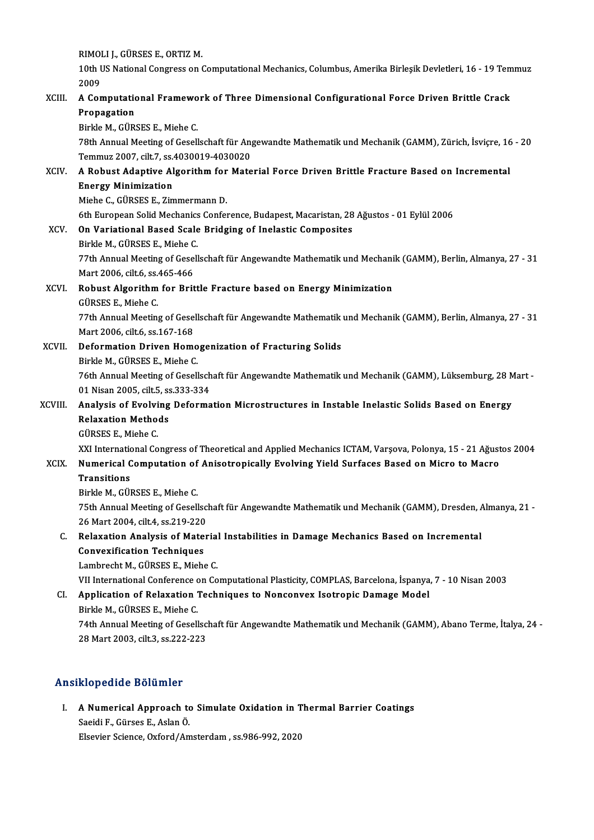RIMOLI J., GÜRSES E., ORTIZ M.<br>10th US National Congress on (

RIMOLI J., GÜRSES E., ORTIZ M.<br>10th US National Congress on Computational Mechanics, Columbus, Amerika Birleşik Devletleri, 16 - 19 Temmuz<br>2009 RIMOI<br>10th U<br>2009 10th US National Congress on Computational Mechanics, Columbus, Amerika Birleşik Devletleri, 16 - 19 Tem<br>2009<br>Representional Framework of Three Dimensional Configurational Force Driven Brittle Crack<br>Represention

# 2009<br>A Computation<br>Pirklo M Ci<sup>no</sup> A Computational Framewo<br>Propagation<br>Birkle M., GÜRSES E., Miehe C.<br><sup>79th</sup> Annual Meeting of Cesell

Propagation<br>Birkle M., GÜRSES E., Miehe C.<br>78th Annual Meeting of Gesellschaft für Angewandte Mathematik und Mechanik (GAMM), Zürich, İsviçre, 16 - 20<br>Temmus 2007, silt 7, ss.4020019, 4020020 Birkle M., GÜRSES E., Miehe C.<br>78th Annual Meeting of Gesellschaft für Ang<br>Temmuz 2007, cilt.7, ss.4030019-4030020<br>A Bobust Adaptive Alsorithm for Mate 78th Annual Meeting of Gesellschaft für Angewandte Mathematik und Mechanik (GAMM), Zürich, İsviçre, 16<br>Temmuz 2007, cilt.7, ss.4030019-4030020<br>XCIV. A Robust Adaptive Algorithm for Material Force Driven Brittle Fracture Ba

### Temmuz 2007, cilt.7, ss.4030019-4030020<br>A Robust Adaptive Algorithm for Mate<br>Energy Minimization<br>Miehe C., GÜRSES E., Zimmermann D. A Robust Adaptive Algorithm for<br>Energy Minimization<br>Miehe C., GÜRSES E., Zimmermann D.<br><sup>Eth Euronean Solid Mechaniss Confei</sup>

6thEuropeanSolidMechanicsConference,Budapest,Macaristan,28Ağustos -01Eylül2006

# Miehe C., GÜRSES E., Zimmermann D.<br>6th European Solid Mechanics Conference, Budapest, Macaristan, 28<br>XCV. On Variational Based Scale Bridging of Inelastic Composites<br>Pirkle M. GÜRSES E. Miehe G. 6th European Solid Mechanics<br>On Variational Based Scale<br>Birkle M., GÜRSES E., Miehe C.<br>77th Annual Meeting of Cesell

Birkle M., GÜRSES E., Miehe C.

77th Annual Meeting of Gesellschaft für Angewandte Mathematik und Mechanik (GAMM), Berlin, Almanya, 27 - 31<br>Mart 2006, cilt.6, ss.465-466 77th Annual Meeting of Gesellschaft für Angewandte Mathematik und Mechani<br>Mart 2006, cilt.6, ss.465-466<br>XCVI. Robust Algorithm for Brittle Fracture based on Energy Minimization<br>CilBSES E. Micha G.

# Mart 2006, cilt.6, ss.<br>Robust Algorithm<br>GÜRSES E., Miehe C.<br>77th Annual Meetin

Robust Algorithm for Brittle Fracture based on Energy Minimization<br>GÜRSES E., Miehe C.<br>77th Annual Meeting of Gesellschaft für Angewandte Mathematik und Mechanik (GAMM), Berlin, Almanya, 27 - 31<br>Mart 2006, si<sup>lt 6,</sup> ss.167 GÜRSES E., Miehe C.<br>77th Annual Meeting of Gese<br>Mart 2006, cilt.6, ss.167-168<br>Peformation Driven Home 77th Annual Meeting of Gesellschaft für Angewandte Mathematik<br>Mart 2006, cilt.6, ss.167-168<br>XCVII. Deformation Driven Homogenization of Fracturing Solids<br>Pirkle M. CÜBSES E. Micha C.

### Mart 2006, cilt.6, ss.167-168<br>Deformation Driven Homogenization of Fracturing Solids<br>Birkle M., GÜRSES E., Miehe C. Deformation Driven Homogenization of Fracturing Solids<br>Birkle M., GÜRSES E., Miehe C.<br>76th Annual Meeting of Gesellschaft für Angewandte Mathematik und Mechanik (GAMM), Lüksemburg, 28 Mart -<br>01 Nisan 2005, silt 5, ss 333, Birkle M., GÜRSES E., Miehe C.<br>76th Annual Meeting of Gesellsch<br>01 Nisan 2005, cilt.5, ss.333-334<br>Analysis of Evolving Deforma 76th Annual Meeting of Gesellschaft für Angewandte Mathematik und Mechanik (GAMM), Lüksemburg, 28 M<br>01 Nisan 2005, cilt.5, ss.333-334<br>XCVIII. Analysis of Evolving Deformation Microstructures in Instable Inelastic Solids Ba

### 01 Nisan 2005, cilt.5, ss.333-334<br>Analysis of Evolving Deforma<br>Relaxation Methods<br>GÜRSES E.. Miehe C. Analysis of Evolving Deformation Microstructures in Instable Inelastic Solids Based on Energy

XXI InternationalCongress ofTheoreticalandAppliedMechanics ICTAM,Varşova,Polonya,15 -21Ağustos2004

### GÜRSES E., Miehe C.<br>XXI International Congress of Theoretical and Applied Mechanics ICTAM, Varşova, Polonya, 15 - 21 Ağust<br>XCIX. Numerical Computation of Anisotropically Evolving Yield Surfaces Based on Micro to Macro<br>Tran XXI Internation<br>Numerical C<br>Transitions<br><sup>Pirkla M. C</sub>in</sup> **Numerical Computation of<br>Transitions<br>Birkle M., GÜRSES E., Miehe C.<br>75th Annual Meeting of Cesell**

**Transitions**<br>Birkle M., GÜRSES E., Miehe C.<br>75th Annual Meeting of Gesellschaft für Angewandte Mathematik und Mechanik (GAMM), Dresden, Almanya, 21 -<br>26 Mart 2004, si<sup>lt 4,</sup> ss <sup>210, 220</sub></sup> Birkle M., GÜRSES E., Miehe C.<br>75th Annual Meeting of Gesellsc.<br>26 Mart 2004, cilt.4, ss.219-220<br>Belavation Analysis of Mater T5th Annual Meeting of Gesellschaft für Angewandte Mathematik und Mechanik (GAMM), Dresden, 4<br>26 Mart 2004, cilt.4, ss.219-220<br>C. Relaxation Analysis of Material Instabilities in Damage Mechanics Based on Incremental<br>Conve

### 26 Mart 2004, cilt.4, ss.219-220<br>Relaxation Analysis of Mate<br>Convexification Techniques Relaxation Analysis of Materia<br>Convexification Techniques<br>Lambrecht M., GÜRSES E., Miehe C.<br>VII International Conference on Co Convexification Techniques<br>Lambrecht M., GÜRSES E., Miehe C.<br>VII International Conference on Computational Plasticity, COMPLAS, Barcelona, İspanya, 7 - 10 Nisan 2003

# Lambrecht M., GÜRSES E., Miehe C.<br>VII International Conference on Computational Plasticity, COMPLAS, Barcelona, İspanya<br>CI. Application of Relaxation Techniques to Nonconvex Isotropic Damage Model<br>Pirkle M. GÜRSES E. Miehe VII International Conference<br>**Application of Relaxation "**<br>Birkle M., GÜRSES E., Miehe C.<br>74th Annual Meeting of Cesell

Application of Relaxation Techniques to Nonconvex Isotropic Damage Model<br>Birkle M., GÜRSES E., Miehe C.<br>74th Annual Meeting of Gesellschaft für Angewandte Mathematik und Mechanik (GAMM), Abano Terme, İtalya, 24 -<br>28 Mart 2 Birkle M., GÜRSES E., Miehe C.<br>74th Annual Meeting of Gesellsc<br>28 Mart 2003, cilt.3, ss.222-223

# 28 Mart 2003, cilt.3, ss.222-223<br>Ansiklopedide Bölümler

nsiklopedide Bölümler<br>I. A Numerical Approach to Simulate Oxidation in Thermal Barrier Coatings<br>Socidi E. Gürees E. Aslan Ö Mopeurus Borumor<br>A Numerical Approach to<br>Saeidi F., Gürses E., Aslan Ö.<br>Fleevier Science, Ovford (Ar <mark>A Numerical Approach to Simulate Oxidation in T</mark><br>Saeidi F., Gürses E., Aslan Ö.<br>Elsevier Science, Oxford/Amsterdam , ss.986-992, 2020